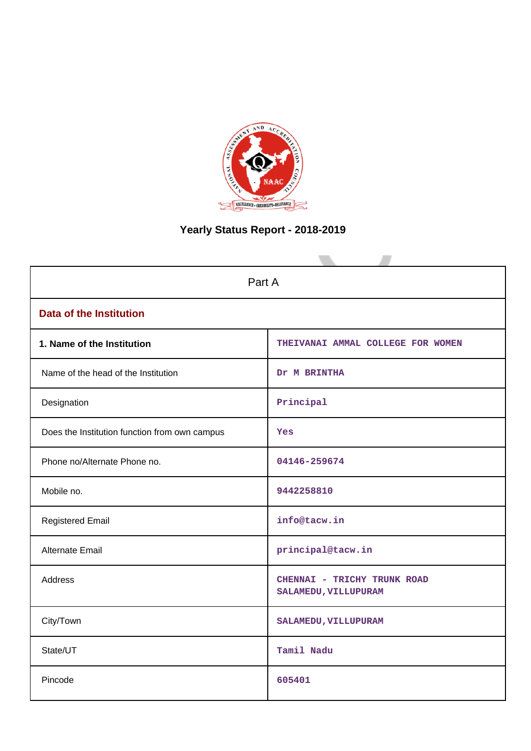

# **Yearly Status Report - 2018-2019**

| Part A                                        |                                                     |  |  |  |  |  |  |
|-----------------------------------------------|-----------------------------------------------------|--|--|--|--|--|--|
| <b>Data of the Institution</b>                |                                                     |  |  |  |  |  |  |
| 1. Name of the Institution                    | THEIVANAI AMMAL COLLEGE FOR WOMEN                   |  |  |  |  |  |  |
| Name of the head of the Institution           | Dr M BRINTHA                                        |  |  |  |  |  |  |
| Designation                                   | Principal                                           |  |  |  |  |  |  |
| Does the Institution function from own campus | Yes                                                 |  |  |  |  |  |  |
| Phone no/Alternate Phone no.                  | 04146-259674                                        |  |  |  |  |  |  |
| Mobile no.                                    | 9442258810                                          |  |  |  |  |  |  |
| <b>Registered Email</b>                       | info@tacw.in                                        |  |  |  |  |  |  |
| <b>Alternate Email</b>                        | principal@tacw.in                                   |  |  |  |  |  |  |
| Address                                       | CHENNAI - TRICHY TRUNK ROAD<br>SALAMEDU, VILLUPURAM |  |  |  |  |  |  |
| City/Town                                     | SALAMEDU, VILLUPURAM                                |  |  |  |  |  |  |
| State/UT                                      | Tamil Nadu                                          |  |  |  |  |  |  |
| Pincode                                       | 605401                                              |  |  |  |  |  |  |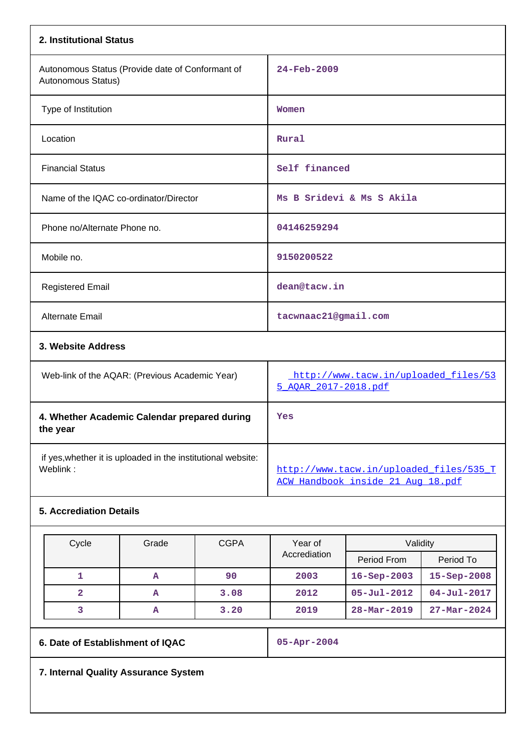| 2. Institutional Status                                                  |                                                                              |
|--------------------------------------------------------------------------|------------------------------------------------------------------------------|
| Autonomous Status (Provide date of Conformant of<br>Autonomous Status)   | 24-Feb-2009                                                                  |
| Type of Institution                                                      | Women                                                                        |
| Location                                                                 | Rural                                                                        |
| <b>Financial Status</b>                                                  | Self financed                                                                |
| Name of the IQAC co-ordinator/Director                                   | Ms B Sridevi & Ms S Akila                                                    |
| Phone no/Alternate Phone no.                                             | 04146259294                                                                  |
| Mobile no.                                                               | 9150200522                                                                   |
| <b>Registered Email</b>                                                  | dean@tacw.in                                                                 |
| <b>Alternate Email</b>                                                   | tacwnaac21@gmail.com                                                         |
| 3. Website Address                                                       |                                                                              |
| Web-link of the AQAR: (Previous Academic Year)                           | http://www.tacw.in/uploaded_files/53<br>5 AOAR 2017-2018.pdf                 |
| 4. Whether Academic Calendar prepared during<br>the year                 | Yes                                                                          |
| if yes, whether it is uploaded in the institutional website:<br>Weblink: | http://www.tacw.in/uploaded_files/535_T<br>ACW Handbook inside 21 Aug 18.pdf |

# **5. Accrediation Details**

| Cycle | Grade | <b>CGPA</b> | Year of      | Validity                 |                          |  |
|-------|-------|-------------|--------------|--------------------------|--------------------------|--|
|       |       |             | Accrediation | Period From              | Period To                |  |
|       | A     | 90          | 2003         | $16 - Sep - 2003$        | 15-Sep-2008              |  |
|       | А     | 3.08        | 2012         | $05 - Ju1 - 2012$        | $04 - \text{Jul} - 2017$ |  |
|       | A     | 3.20        | 2019         | $28 - \text{Mar} - 2019$ | $27 - Mar - 2024$        |  |

**6. Date of Establishment of IQAC 05-Apr-2004**

**7. Internal Quality Assurance System**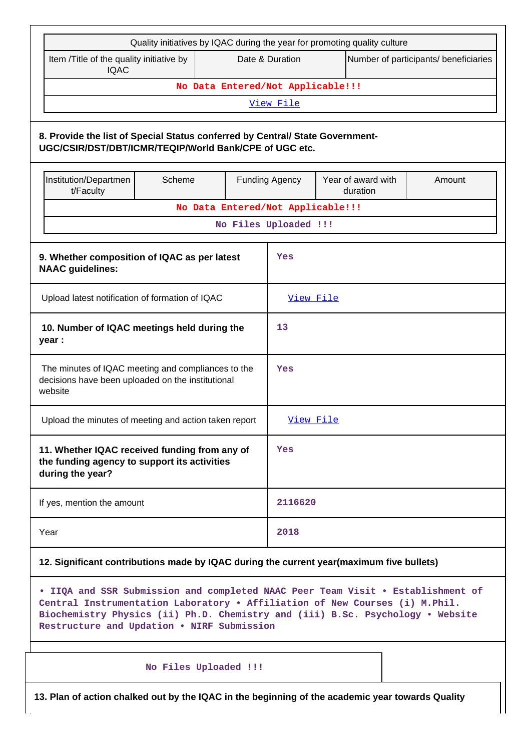|                                                                                                                                         | Quality initiatives by IQAC during the year for promoting quality culture |     |                                                          |  |                                                                                                                                                                   |  |  |  |  |
|-----------------------------------------------------------------------------------------------------------------------------------------|---------------------------------------------------------------------------|-----|----------------------------------------------------------|--|-------------------------------------------------------------------------------------------------------------------------------------------------------------------|--|--|--|--|
| Item /Title of the quality initiative by<br><b>IQAC</b>                                                                                 |                                                                           |     | Date & Duration<br>Number of participants/ beneficiaries |  |                                                                                                                                                                   |  |  |  |  |
| No Data Entered/Not Applicable!!!                                                                                                       |                                                                           |     |                                                          |  |                                                                                                                                                                   |  |  |  |  |
| View File                                                                                                                               |                                                                           |     |                                                          |  |                                                                                                                                                                   |  |  |  |  |
| 8. Provide the list of Special Status conferred by Central/ State Government-<br>UGC/CSIR/DST/DBT/ICMR/TEQIP/World Bank/CPE of UGC etc. |                                                                           |     |                                                          |  |                                                                                                                                                                   |  |  |  |  |
| Institution/Departmen<br>Year of award with<br>Scheme<br><b>Funding Agency</b><br>Amount<br>t/Faculty<br>duration                       |                                                                           |     |                                                          |  |                                                                                                                                                                   |  |  |  |  |
|                                                                                                                                         |                                                                           |     | No Data Entered/Not Applicable!!!                        |  |                                                                                                                                                                   |  |  |  |  |
|                                                                                                                                         |                                                                           |     | No Files Uploaded !!!                                    |  |                                                                                                                                                                   |  |  |  |  |
| 9. Whether composition of IQAC as per latest<br><b>NAAC</b> guidelines:                                                                 |                                                                           |     | Yes                                                      |  |                                                                                                                                                                   |  |  |  |  |
| Upload latest notification of formation of IQAC                                                                                         |                                                                           |     | View File                                                |  |                                                                                                                                                                   |  |  |  |  |
| 10. Number of IQAC meetings held during the<br>year :                                                                                   |                                                                           |     | 13                                                       |  |                                                                                                                                                                   |  |  |  |  |
| The minutes of IQAC meeting and compliances to the<br>decisions have been uploaded on the institutional<br>website                      |                                                                           | Yes |                                                          |  |                                                                                                                                                                   |  |  |  |  |
| Upload the minutes of meeting and action taken report                                                                                   |                                                                           |     | View File                                                |  |                                                                                                                                                                   |  |  |  |  |
| 11. Whether IQAC received funding from any of<br>the funding agency to support its activities<br>during the year?                       |                                                                           |     | Yes                                                      |  |                                                                                                                                                                   |  |  |  |  |
| If yes, mention the amount                                                                                                              |                                                                           |     | 2116620                                                  |  |                                                                                                                                                                   |  |  |  |  |
| Year                                                                                                                                    |                                                                           |     | 2018                                                     |  |                                                                                                                                                                   |  |  |  |  |
| 12. Significant contributions made by IQAC during the current year(maximum five bullets)                                                |                                                                           |     |                                                          |  |                                                                                                                                                                   |  |  |  |  |
| Central Instrumentation Laboratory . Affiliation of New Courses (i) M.Phil.<br>Restructure and Updation . NIRF Submission               |                                                                           |     |                                                          |  | . IIQA and SSR Submission and completed NAAC Peer Team Visit . Establishment of<br>Biochemistry Physics (ii) Ph.D. Chemistry and (iii) B.Sc. Psychology . Website |  |  |  |  |
|                                                                                                                                         | No Files Uploaded !!!                                                     |     |                                                          |  |                                                                                                                                                                   |  |  |  |  |
| 13. Plan of action chalked out by the IQAC in the beginning of the academic year towards Quality                                        |                                                                           |     |                                                          |  |                                                                                                                                                                   |  |  |  |  |

٦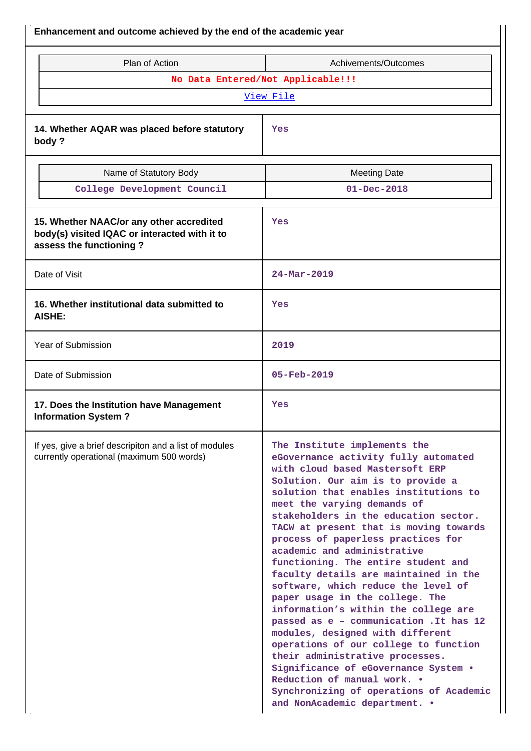| Enhancement and outcome achieved by the end of the academic year                                                     |                                                                                                                                                                                                                                                                                                                                                                                                                                                                                                                                                                                                                                                                                                                                                                                                                                                                                              |  |  |  |  |
|----------------------------------------------------------------------------------------------------------------------|----------------------------------------------------------------------------------------------------------------------------------------------------------------------------------------------------------------------------------------------------------------------------------------------------------------------------------------------------------------------------------------------------------------------------------------------------------------------------------------------------------------------------------------------------------------------------------------------------------------------------------------------------------------------------------------------------------------------------------------------------------------------------------------------------------------------------------------------------------------------------------------------|--|--|--|--|
| Plan of Action                                                                                                       | Achivements/Outcomes                                                                                                                                                                                                                                                                                                                                                                                                                                                                                                                                                                                                                                                                                                                                                                                                                                                                         |  |  |  |  |
|                                                                                                                      | No Data Entered/Not Applicable!!!                                                                                                                                                                                                                                                                                                                                                                                                                                                                                                                                                                                                                                                                                                                                                                                                                                                            |  |  |  |  |
|                                                                                                                      | View File                                                                                                                                                                                                                                                                                                                                                                                                                                                                                                                                                                                                                                                                                                                                                                                                                                                                                    |  |  |  |  |
| 14. Whether AQAR was placed before statutory<br>body?                                                                | Yes                                                                                                                                                                                                                                                                                                                                                                                                                                                                                                                                                                                                                                                                                                                                                                                                                                                                                          |  |  |  |  |
| Name of Statutory Body                                                                                               | <b>Meeting Date</b>                                                                                                                                                                                                                                                                                                                                                                                                                                                                                                                                                                                                                                                                                                                                                                                                                                                                          |  |  |  |  |
| College Development Council                                                                                          | $01 - Dec - 2018$                                                                                                                                                                                                                                                                                                                                                                                                                                                                                                                                                                                                                                                                                                                                                                                                                                                                            |  |  |  |  |
| 15. Whether NAAC/or any other accredited<br>body(s) visited IQAC or interacted with it to<br>assess the functioning? | Yes                                                                                                                                                                                                                                                                                                                                                                                                                                                                                                                                                                                                                                                                                                                                                                                                                                                                                          |  |  |  |  |
| Date of Visit                                                                                                        | 24-Mar-2019                                                                                                                                                                                                                                                                                                                                                                                                                                                                                                                                                                                                                                                                                                                                                                                                                                                                                  |  |  |  |  |
| 16. Whether institutional data submitted to<br><b>AISHE:</b>                                                         | Yes                                                                                                                                                                                                                                                                                                                                                                                                                                                                                                                                                                                                                                                                                                                                                                                                                                                                                          |  |  |  |  |
| Year of Submission                                                                                                   | 2019                                                                                                                                                                                                                                                                                                                                                                                                                                                                                                                                                                                                                                                                                                                                                                                                                                                                                         |  |  |  |  |
| Date of Submission                                                                                                   | 05-Feb-2019                                                                                                                                                                                                                                                                                                                                                                                                                                                                                                                                                                                                                                                                                                                                                                                                                                                                                  |  |  |  |  |
| 17. Does the Institution have Management<br><b>Information System?</b>                                               | Yes                                                                                                                                                                                                                                                                                                                                                                                                                                                                                                                                                                                                                                                                                                                                                                                                                                                                                          |  |  |  |  |
| If yes, give a brief descripiton and a list of modules<br>currently operational (maximum 500 words)                  | The Institute implements the<br>eGovernance activity fully automated<br>with cloud based Mastersoft ERP<br>Solution. Our aim is to provide a<br>solution that enables institutions to<br>meet the varying demands of<br>stakeholders in the education sector.<br>TACW at present that is moving towards<br>process of paperless practices for<br>academic and administrative<br>functioning. The entire student and<br>faculty details are maintained in the<br>software, which reduce the level of<br>paper usage in the college. The<br>information's within the college are<br>passed as e - communication . It has 12<br>modules, designed with different<br>operations of our college to function<br>their administrative processes.<br>Significance of eGovernance System .<br>Reduction of manual work. •<br>Synchronizing of operations of Academic<br>and NonAcademic department. . |  |  |  |  |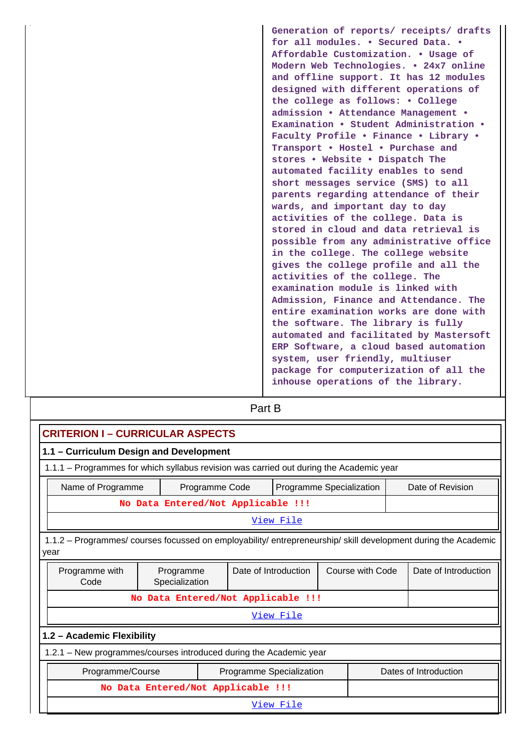**Generation of reports/ receipts/ drafts for all modules. • Secured Data. • Affordable Customization. • Usage of Modern Web Technologies. • 24x7 online and offline support. It has 12 modules designed with different operations of the college as follows: • College admission • Attendance Management • Examination • Student Administration • Faculty Profile • Finance • Library • Transport • Hostel • Purchase and stores • Website • Dispatch The automated facility enables to send short messages service (SMS) to all parents regarding attendance of their wards, and important day to day activities of the college. Data is stored in cloud and data retrieval is possible from any administrative office in the college. The college website gives the college profile and all the activities of the college. The examination module is linked with Admission, Finance and Attendance. The entire examination works are done with the software. The library is fully automated and facilitated by Mastersoft ERP Software, a cloud based automation system, user friendly, multiuser package for computerization of all the inhouse operations of the library.**

# **Part B**

| <b>CRITERION I - CURRICULAR ASPECTS</b>                                                                                |                                                                                         |  |  |                          |  |                      |                       |  |  |  |
|------------------------------------------------------------------------------------------------------------------------|-----------------------------------------------------------------------------------------|--|--|--------------------------|--|----------------------|-----------------------|--|--|--|
| 1.1 - Curriculum Design and Development                                                                                |                                                                                         |  |  |                          |  |                      |                       |  |  |  |
|                                                                                                                        | 1.1.1 – Programmes for which syllabus revision was carried out during the Academic year |  |  |                          |  |                      |                       |  |  |  |
|                                                                                                                        |                                                                                         |  |  |                          |  |                      |                       |  |  |  |
|                                                                                                                        | Date of Revision<br>Name of Programme<br>Programme Specialization<br>Programme Code     |  |  |                          |  |                      |                       |  |  |  |
|                                                                                                                        | No Data Entered/Not Applicable !!!                                                      |  |  |                          |  |                      |                       |  |  |  |
|                                                                                                                        | View File                                                                               |  |  |                          |  |                      |                       |  |  |  |
| 1.1.2 – Programmes/ courses focussed on employability/ entrepreneurship/ skill development during the Academic<br>year |                                                                                         |  |  |                          |  |                      |                       |  |  |  |
| Programme with<br>Code                                                                                                 | Date of Introduction<br>Programme<br>Specialization                                     |  |  | Course with Code         |  | Date of Introduction |                       |  |  |  |
|                                                                                                                        | No Data Entered/Not Applicable !!!                                                      |  |  |                          |  |                      |                       |  |  |  |
|                                                                                                                        |                                                                                         |  |  | View File                |  |                      |                       |  |  |  |
| 1.2 - Academic Flexibility                                                                                             |                                                                                         |  |  |                          |  |                      |                       |  |  |  |
| 1.2.1 - New programmes/courses introduced during the Academic year                                                     |                                                                                         |  |  |                          |  |                      |                       |  |  |  |
| Programme/Course                                                                                                       |                                                                                         |  |  | Programme Specialization |  |                      | Dates of Introduction |  |  |  |
|                                                                                                                        | No Data Entered/Not Applicable !!!                                                      |  |  |                          |  |                      |                       |  |  |  |
|                                                                                                                        |                                                                                         |  |  | View File                |  |                      |                       |  |  |  |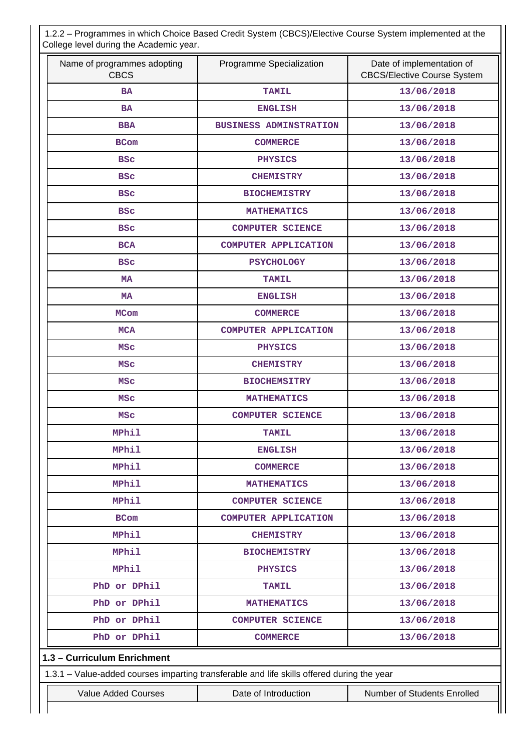1.2.2 – Programmes in which Choice Based Credit System (CBCS)/Elective Course System implemented at the College level during the Academic year.

| Name of programmes adopting<br><b>CBCS</b> | Programme Specialization                                                                   | Date of implementation of<br><b>CBCS/Elective Course System</b> |  |  |
|--------------------------------------------|--------------------------------------------------------------------------------------------|-----------------------------------------------------------------|--|--|
| <b>BA</b>                                  | <b>TAMIL</b>                                                                               | 13/06/2018                                                      |  |  |
| <b>BA</b>                                  | <b>ENGLISH</b>                                                                             | 13/06/2018                                                      |  |  |
| <b>BBA</b>                                 | <b>BUSINESS ADMINSTRATION</b>                                                              | 13/06/2018                                                      |  |  |
| <b>BCom</b>                                | <b>COMMERCE</b>                                                                            | 13/06/2018                                                      |  |  |
| <b>BSC</b>                                 | <b>PHYSICS</b>                                                                             | 13/06/2018                                                      |  |  |
| <b>BSC</b>                                 | <b>CHEMISTRY</b>                                                                           | 13/06/2018                                                      |  |  |
| <b>BSC</b>                                 | <b>BIOCHEMISTRY</b>                                                                        | 13/06/2018                                                      |  |  |
| <b>BSC</b>                                 | <b>MATHEMATICS</b>                                                                         | 13/06/2018                                                      |  |  |
| <b>BSC</b>                                 | <b>COMPUTER SCIENCE</b>                                                                    | 13/06/2018                                                      |  |  |
| <b>BCA</b>                                 | <b>COMPUTER APPLICATION</b>                                                                | 13/06/2018                                                      |  |  |
| <b>BSC</b>                                 | <b>PSYCHOLOGY</b>                                                                          | 13/06/2018                                                      |  |  |
| <b>MA</b>                                  | <b>TAMIL</b>                                                                               | 13/06/2018                                                      |  |  |
| <b>MA</b>                                  | <b>ENGLISH</b>                                                                             | 13/06/2018                                                      |  |  |
| <b>MCom</b>                                | <b>COMMERCE</b>                                                                            | 13/06/2018                                                      |  |  |
| <b>MCA</b>                                 | COMPUTER APPLICATION                                                                       | 13/06/2018                                                      |  |  |
| <b>MSC</b>                                 | <b>PHYSICS</b>                                                                             | 13/06/2018                                                      |  |  |
| <b>MSC</b>                                 | <b>CHEMISTRY</b>                                                                           | 13/06/2018                                                      |  |  |
| <b>MSC</b>                                 | <b>BIOCHEMSITRY</b>                                                                        | 13/06/2018                                                      |  |  |
| <b>MSC</b>                                 | <b>MATHEMATICS</b>                                                                         | 13/06/2018<br>13/06/2018                                        |  |  |
| <b>MSC</b>                                 | <b>COMPUTER SCIENCE</b>                                                                    |                                                                 |  |  |
| <b>MPhil</b>                               | <b>TAMIL</b>                                                                               | 13/06/2018                                                      |  |  |
| MPhil                                      | <b>ENGLISH</b>                                                                             | 13/06/2018                                                      |  |  |
| <b>MPhil</b>                               | <b>COMMERCE</b>                                                                            | 13/06/2018                                                      |  |  |
| <b>MPhil</b>                               | <b>MATHEMATICS</b>                                                                         | 13/06/2018                                                      |  |  |
| MPhil                                      | <b>COMPUTER SCIENCE</b>                                                                    | 13/06/2018                                                      |  |  |
| <b>BCom</b>                                | <b>COMPUTER APPLICATION</b>                                                                | 13/06/2018                                                      |  |  |
| <b>MPhil</b>                               | <b>CHEMISTRY</b>                                                                           | 13/06/2018                                                      |  |  |
| <b>MPhil</b>                               | <b>BIOCHEMISTRY</b>                                                                        | 13/06/2018                                                      |  |  |
| <b>MPhil</b>                               | <b>PHYSICS</b>                                                                             | 13/06/2018                                                      |  |  |
| PhD or DPhil                               | <b>TAMIL</b>                                                                               | 13/06/2018                                                      |  |  |
| PhD or DPhil                               | <b>MATHEMATICS</b>                                                                         | 13/06/2018                                                      |  |  |
| PhD or DPhil                               | <b>COMPUTER SCIENCE</b>                                                                    | 13/06/2018                                                      |  |  |
| PhD or DPhil                               | <b>COMMERCE</b>                                                                            | 13/06/2018                                                      |  |  |
| 1.3 - Curriculum Enrichment                |                                                                                            |                                                                 |  |  |
|                                            | 1.3.1 - Value-added courses imparting transferable and life skills offered during the year |                                                                 |  |  |
| <b>Value Added Courses</b>                 | Date of Introduction                                                                       | Number of Students Enrolled                                     |  |  |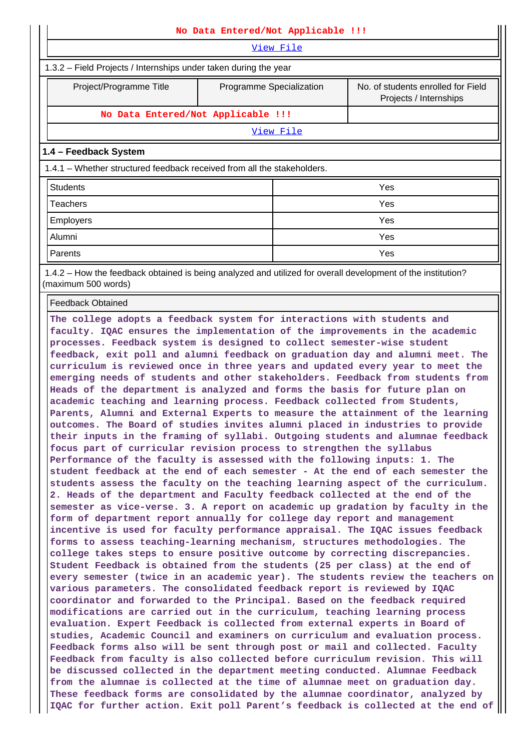| No Data Entered/Not Applicable !!!                                                                           |                          |                                                              |  |  |  |  |  |  |
|--------------------------------------------------------------------------------------------------------------|--------------------------|--------------------------------------------------------------|--|--|--|--|--|--|
| View File                                                                                                    |                          |                                                              |  |  |  |  |  |  |
| 1.3.2 – Field Projects / Internships under taken during the year                                             |                          |                                                              |  |  |  |  |  |  |
| Project/Programme Title                                                                                      | Programme Specialization | No. of students enrolled for Field<br>Projects / Internships |  |  |  |  |  |  |
| No Data Entered/Not Applicable !!!                                                                           |                          |                                                              |  |  |  |  |  |  |
|                                                                                                              | View File                |                                                              |  |  |  |  |  |  |
| 1.4 - Feedback System                                                                                        |                          |                                                              |  |  |  |  |  |  |
| 1.4.1 – Whether structured feedback received from all the stakeholders.                                      |                          |                                                              |  |  |  |  |  |  |
| <b>Students</b>                                                                                              |                          | Yes                                                          |  |  |  |  |  |  |
| Teachers                                                                                                     |                          | Yes                                                          |  |  |  |  |  |  |
| <b>Employers</b>                                                                                             |                          | Yes                                                          |  |  |  |  |  |  |
| Alumni                                                                                                       |                          | Yes                                                          |  |  |  |  |  |  |
| Parents                                                                                                      |                          | Yes                                                          |  |  |  |  |  |  |
| 1.4.2 – How the feedback obtained is being analyzed and utilized for overall development of the institution? |                          |                                                              |  |  |  |  |  |  |

potained is being analyzed and utilized for overall dev (maximum 500 words)

Feedback Obtained

**The college adopts a feedback system for interactions with students and faculty. IQAC ensures the implementation of the improvements in the academic processes. Feedback system is designed to collect semester-wise student feedback, exit poll and alumni feedback on graduation day and alumni meet. The curriculum is reviewed once in three years and updated every year to meet the emerging needs of students and other stakeholders. Feedback from students from Heads of the department is analyzed and forms the basis for future plan on academic teaching and learning process. Feedback collected from Students, Parents, Alumni and External Experts to measure the attainment of the learning outcomes. The Board of studies invites alumni placed in industries to provide their inputs in the framing of syllabi. Outgoing students and alumnae feedback focus part of curricular revision process to strengthen the syllabus Performance of the faculty is assessed with the following inputs: 1. The student feedback at the end of each semester - At the end of each semester the students assess the faculty on the teaching learning aspect of the curriculum. 2. Heads of the department and Faculty feedback collected at the end of the semester as vice-verse. 3. A report on academic up gradation by faculty in the form of department report annually for college day report and management incentive is used for faculty performance appraisal. The IQAC issues feedback forms to assess teaching-learning mechanism, structures methodologies. The college takes steps to ensure positive outcome by correcting discrepancies. Student Feedback is obtained from the students (25 per class) at the end of every semester (twice in an academic year). The students review the teachers on various parameters. The consolidated feedback report is reviewed by IQAC coordinator and forwarded to the Principal. Based on the feedback required modifications are carried out in the curriculum, teaching learning process evaluation. Expert Feedback is collected from external experts in Board of studies, Academic Council and examiners on curriculum and evaluation process. Feedback forms also will be sent through post or mail and collected. Faculty Feedback from faculty is also collected before curriculum revision. This will be discussed collected in the department meeting conducted. Alumnae Feedback from the alumnae is collected at the time of alumnae meet on graduation day. These feedback forms are consolidated by the alumnae coordinator, analyzed by IQAC for further action. Exit poll Parent's feedback is collected at the end of**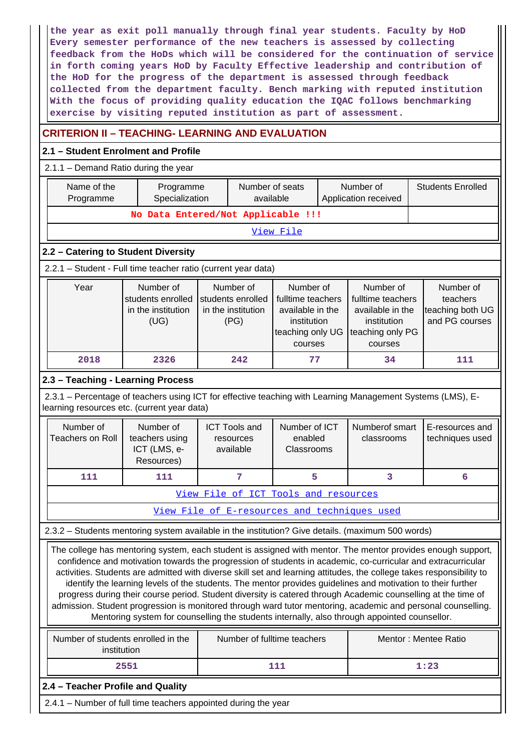**the year as exit poll manually through final year students. Faculty by HoD Every semester performance of the new teachers is assessed by collecting feedback from the HoDs which will be considered for the continuation of service in forth coming years HoD by Faculty Effective leadership and contribution of the HoD for the progress of the department is assessed through feedback collected from the department faculty. Bench marking with reputed institution With the focus of providing quality education the IQAC follows benchmarking exercise by visiting reputed institution as part of assessment.**

# **CRITERION II – TEACHING- LEARNING AND EVALUATION**

# **2.1 – Student Enrolment and Profile**

 2.1.1 – Demand Ratio during the year Name of the Programme Programme Specialization Number of seats available Number of Application received Students Enrolled **No Data Entered/Not Applicable !!!** [View File](https://assessmentonline.naac.gov.in/public/Postacc/Demand_ratio/8869_Demand_ratio_1610964831.xlsx) **2.2 – Catering to Student Diversity** 2.2.1 – Student - Full time teacher ratio (current year data) Year | Number of students enrolled | students enrolled in the institution (UG) Number of in the institution (PG) Number of fulltime teachers available in the institution teaching only UG courses Number of fulltime teachers available in the institution teaching only PG courses Number of teachers teaching both UG and PG courses  **2018 2326 242 77 34 111 2.3 – Teaching - Learning Process** 2.3.1 – Percentage of teachers using ICT for effective teaching with Learning Management Systems (LMS), Elearning resources etc. (current year data) Number of Teachers on Roll Number of teachers using ICT (LMS, e-Resources) ICT Tools and resources available Number of ICT enabled Classrooms Numberof smart classrooms E-resources and techniques used **111** 111 | 7 | 5 | 3 | 6 [View File of ICT Tools and resources](https://assessmentonline.naac.gov.in/public/Postacc/ict_tools/8869_ict_tools_1614854842.xlsx) [View File of E-resources and techniques used](https://assessmentonline.naac.gov.in/public/Postacc/e_resource/8869_e_resource_1614854859.xlsx) 2.3.2 – Students mentoring system available in the institution? Give details. (maximum 500 words) The college has mentoring system, each student is assigned with mentor. The mentor provides enough support, confidence and motivation towards the progression of students in academic, co-curricular and extracurricular activities. Students are admitted with diverse skill set and learning attitudes, the college takes responsibility to identify the learning levels of the students. The mentor provides guidelines and motivation to their further progress during their course period. Student diversity is catered through Academic counselling at the time of admission. Student progression is monitored through ward tutor mentoring, academic and personal counselling. Mentoring system for counselling the students internally, also through appointed counsellor. Number of students enrolled in the institution Number of fulltime teachers **Number of fulltime teachers** Mentor : Mentee Ratio **2551** 111 1:23 **2.4 – Teacher Profile and Quality** 2.4.1 – Number of full time teachers appointed during the year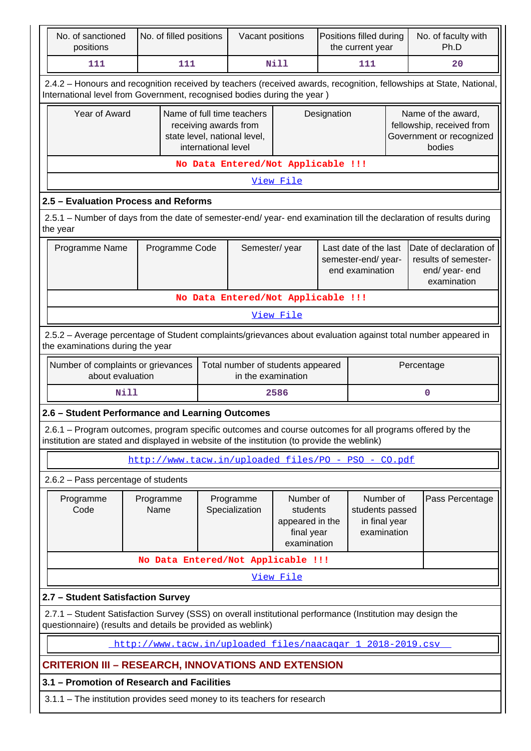| No. of sanctioned<br>positions                                                                                                                                                                         |                                                                                                                     | No. of filled positions |                                                                                                            | Vacant positions                                           |                                                                       | Positions filled during<br>the current year                                     |                                                              |  | No. of faculty with<br>Ph.D                                                           |  |
|--------------------------------------------------------------------------------------------------------------------------------------------------------------------------------------------------------|---------------------------------------------------------------------------------------------------------------------|-------------------------|------------------------------------------------------------------------------------------------------------|------------------------------------------------------------|-----------------------------------------------------------------------|---------------------------------------------------------------------------------|--------------------------------------------------------------|--|---------------------------------------------------------------------------------------|--|
| 111                                                                                                                                                                                                    | 111                                                                                                                 |                         | Nill                                                                                                       |                                                            | 111                                                                   |                                                                                 | 20                                                           |  |                                                                                       |  |
| 2.4.2 - Honours and recognition received by teachers (received awards, recognition, fellowships at State, National,<br>International level from Government, recognised bodies during the year )        |                                                                                                                     |                         |                                                                                                            |                                                            |                                                                       |                                                                                 |                                                              |  |                                                                                       |  |
| Year of Award                                                                                                                                                                                          |                                                                                                                     |                         | Name of full time teachers<br>receiving awards from<br>state level, national level,<br>international level |                                                            |                                                                       | Designation                                                                     |                                                              |  | Name of the award,<br>fellowship, received from<br>Government or recognized<br>bodies |  |
| No Data Entered/Not Applicable !!!                                                                                                                                                                     |                                                                                                                     |                         |                                                                                                            |                                                            |                                                                       |                                                                                 |                                                              |  |                                                                                       |  |
| View File                                                                                                                                                                                              |                                                                                                                     |                         |                                                                                                            |                                                            |                                                                       |                                                                                 |                                                              |  |                                                                                       |  |
| 2.5 - Evaluation Process and Reforms                                                                                                                                                                   |                                                                                                                     |                         |                                                                                                            |                                                            |                                                                       |                                                                                 |                                                              |  |                                                                                       |  |
| 2.5.1 – Number of days from the date of semester-end/ year- end examination till the declaration of results during<br>the year                                                                         |                                                                                                                     |                         |                                                                                                            |                                                            |                                                                       |                                                                                 |                                                              |  |                                                                                       |  |
|                                                                                                                                                                                                        | Programme Name<br>Semester/year<br>Programme Code<br>Last date of the last<br>semester-end/year-<br>end examination |                         |                                                                                                            |                                                            |                                                                       | Date of declaration of<br>results of semester-<br>end/ year- end<br>examination |                                                              |  |                                                                                       |  |
|                                                                                                                                                                                                        | No Data Entered/Not Applicable !!!                                                                                  |                         |                                                                                                            |                                                            |                                                                       |                                                                                 |                                                              |  |                                                                                       |  |
|                                                                                                                                                                                                        |                                                                                                                     |                         |                                                                                                            |                                                            | View File                                                             |                                                                                 |                                                              |  |                                                                                       |  |
| 2.5.2 - Average percentage of Student complaints/grievances about evaluation against total number appeared in<br>the examinations during the year                                                      |                                                                                                                     |                         |                                                                                                            |                                                            |                                                                       |                                                                                 |                                                              |  |                                                                                       |  |
| Number of complaints or grievances<br>about evaluation                                                                                                                                                 |                                                                                                                     |                         |                                                                                                            | Total number of students appeared<br>in the examination    |                                                                       |                                                                                 |                                                              |  | Percentage                                                                            |  |
|                                                                                                                                                                                                        | Nill                                                                                                                |                         |                                                                                                            |                                                            | 2586                                                                  |                                                                                 |                                                              |  | 0                                                                                     |  |
| 2.6 - Student Performance and Learning Outcomes                                                                                                                                                        |                                                                                                                     |                         |                                                                                                            |                                                            |                                                                       |                                                                                 |                                                              |  |                                                                                       |  |
| 2.6.1 - Program outcomes, program specific outcomes and course outcomes for all programs offered by the<br>institution are stated and displayed in website of the institution (to provide the weblink) |                                                                                                                     |                         |                                                                                                            |                                                            |                                                                       |                                                                                 |                                                              |  |                                                                                       |  |
|                                                                                                                                                                                                        |                                                                                                                     |                         |                                                                                                            | http://www.tacw.in/uploaded files/PO - PSO - CO.pdf        |                                                                       |                                                                                 |                                                              |  |                                                                                       |  |
| 2.6.2 - Pass percentage of students                                                                                                                                                                    |                                                                                                                     |                         |                                                                                                            |                                                            |                                                                       |                                                                                 |                                                              |  |                                                                                       |  |
| Programme<br>Code                                                                                                                                                                                      | Programme<br>Name                                                                                                   |                         |                                                                                                            | Programme<br>Specialization                                | Number of<br>students<br>appeared in the<br>final year<br>examination |                                                                                 | Number of<br>students passed<br>in final year<br>examination |  | Pass Percentage                                                                       |  |
|                                                                                                                                                                                                        |                                                                                                                     |                         |                                                                                                            | No Data Entered/Not Applicable !!!                         |                                                                       |                                                                                 |                                                              |  |                                                                                       |  |
|                                                                                                                                                                                                        |                                                                                                                     |                         |                                                                                                            |                                                            | View File                                                             |                                                                                 |                                                              |  |                                                                                       |  |
| 2.7 - Student Satisfaction Survey                                                                                                                                                                      |                                                                                                                     |                         |                                                                                                            |                                                            |                                                                       |                                                                                 |                                                              |  |                                                                                       |  |
| 2.7.1 - Student Satisfaction Survey (SSS) on overall institutional performance (Institution may design the<br>questionnaire) (results and details be provided as weblink)                              |                                                                                                                     |                         |                                                                                                            |                                                            |                                                                       |                                                                                 |                                                              |  |                                                                                       |  |
|                                                                                                                                                                                                        |                                                                                                                     |                         |                                                                                                            | http://www.tacw.in/uploaded files/naacagar 1 2018-2019.csv |                                                                       |                                                                                 |                                                              |  |                                                                                       |  |
| <b>CRITERION III – RESEARCH, INNOVATIONS AND EXTENSION</b>                                                                                                                                             |                                                                                                                     |                         |                                                                                                            |                                                            |                                                                       |                                                                                 |                                                              |  |                                                                                       |  |
| 3.1 - Promotion of Research and Facilities                                                                                                                                                             |                                                                                                                     |                         |                                                                                                            |                                                            |                                                                       |                                                                                 |                                                              |  |                                                                                       |  |
| 3.1.1 – The institution provides seed money to its teachers for research                                                                                                                               |                                                                                                                     |                         |                                                                                                            |                                                            |                                                                       |                                                                                 |                                                              |  |                                                                                       |  |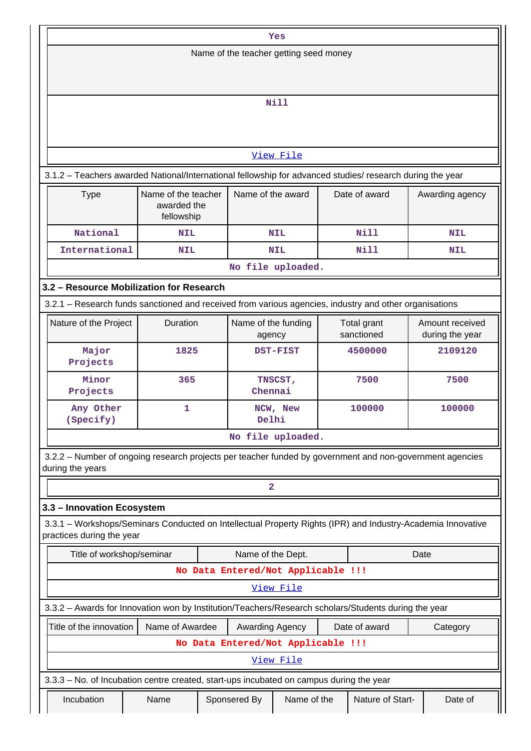|                                                                                                                                          |                                                                        |                                    | Yes                     |  |                                    |            |  |  |  |
|------------------------------------------------------------------------------------------------------------------------------------------|------------------------------------------------------------------------|------------------------------------|-------------------------|--|------------------------------------|------------|--|--|--|
| Name of the teacher getting seed money                                                                                                   |                                                                        |                                    |                         |  |                                    |            |  |  |  |
|                                                                                                                                          |                                                                        |                                    |                         |  |                                    |            |  |  |  |
|                                                                                                                                          |                                                                        |                                    | <b>Nill</b>             |  |                                    |            |  |  |  |
|                                                                                                                                          |                                                                        |                                    |                         |  |                                    |            |  |  |  |
|                                                                                                                                          |                                                                        |                                    |                         |  |                                    |            |  |  |  |
|                                                                                                                                          |                                                                        |                                    | View File               |  |                                    |            |  |  |  |
| 3.1.2 - Teachers awarded National/International fellowship for advanced studies/ research during the year                                |                                                                        |                                    |                         |  |                                    |            |  |  |  |
| Name of the teacher<br>Name of the award<br>Date of award<br><b>Type</b><br>Awarding agency<br>awarded the<br>fellowship                 |                                                                        |                                    |                         |  |                                    |            |  |  |  |
| National                                                                                                                                 | <b>NIL</b>                                                             |                                    | NIL                     |  | Nill                               | <b>NIL</b> |  |  |  |
| International                                                                                                                            | NIL                                                                    |                                    | <b>NIL</b>              |  | Nill                               | <b>NIL</b> |  |  |  |
|                                                                                                                                          |                                                                        |                                    | No file uploaded.       |  |                                    |            |  |  |  |
| 3.2 - Resource Mobilization for Research                                                                                                 |                                                                        |                                    |                         |  |                                    |            |  |  |  |
| 3.2.1 - Research funds sanctioned and received from various agencies, industry and other organisations                                   |                                                                        |                                    |                         |  |                                    |            |  |  |  |
| Nature of the Project                                                                                                                    | Duration<br>Name of the funding<br>Total grant<br>sanctioned<br>agency |                                    |                         |  | Amount received<br>during the year |            |  |  |  |
| Major<br>Projects                                                                                                                        | 1825                                                                   |                                    | <b>DST-FIST</b>         |  | 4500000                            | 2109120    |  |  |  |
| Minor<br>Projects                                                                                                                        | 365                                                                    |                                    | TNSCST,<br>Chennai      |  | 7500                               | 7500       |  |  |  |
| Any Other<br>(Specify)                                                                                                                   | 1                                                                      |                                    | NCW, New<br>Delhi       |  | 100000                             | 100000     |  |  |  |
|                                                                                                                                          |                                                                        |                                    | No file uploaded.       |  |                                    |            |  |  |  |
| 3.2.2 - Number of ongoing research projects per teacher funded by government and non-government agencies                                 |                                                                        |                                    |                         |  |                                    |            |  |  |  |
| during the years                                                                                                                         |                                                                        |                                    |                         |  |                                    |            |  |  |  |
|                                                                                                                                          |                                                                        |                                    | $\overline{\mathbf{2}}$ |  |                                    |            |  |  |  |
| 3.3 - Innovation Ecosystem                                                                                                               |                                                                        |                                    |                         |  |                                    |            |  |  |  |
| 3.3.1 - Workshops/Seminars Conducted on Intellectual Property Rights (IPR) and Industry-Academia Innovative<br>practices during the year |                                                                        |                                    |                         |  |                                    |            |  |  |  |
| Title of workshop/seminar                                                                                                                |                                                                        |                                    | Name of the Dept.       |  |                                    | Date       |  |  |  |
|                                                                                                                                          |                                                                        | No Data Entered/Not Applicable !!! |                         |  |                                    |            |  |  |  |
|                                                                                                                                          |                                                                        |                                    | View File               |  |                                    |            |  |  |  |
| 3.3.2 - Awards for Innovation won by Institution/Teachers/Research scholars/Students during the year                                     |                                                                        |                                    |                         |  |                                    |            |  |  |  |
| Title of the innovation                                                                                                                  | Name of Awardee                                                        |                                    | Awarding Agency         |  | Date of award                      | Category   |  |  |  |
|                                                                                                                                          |                                                                        | No Data Entered/Not Applicable !!! |                         |  |                                    |            |  |  |  |
|                                                                                                                                          |                                                                        |                                    | View File               |  |                                    |            |  |  |  |
| 3.3.3 - No. of Incubation centre created, start-ups incubated on campus during the year                                                  |                                                                        |                                    |                         |  |                                    |            |  |  |  |
| Incubation                                                                                                                               | Name                                                                   | Sponsered By                       | Name of the             |  | Nature of Start-                   | Date of    |  |  |  |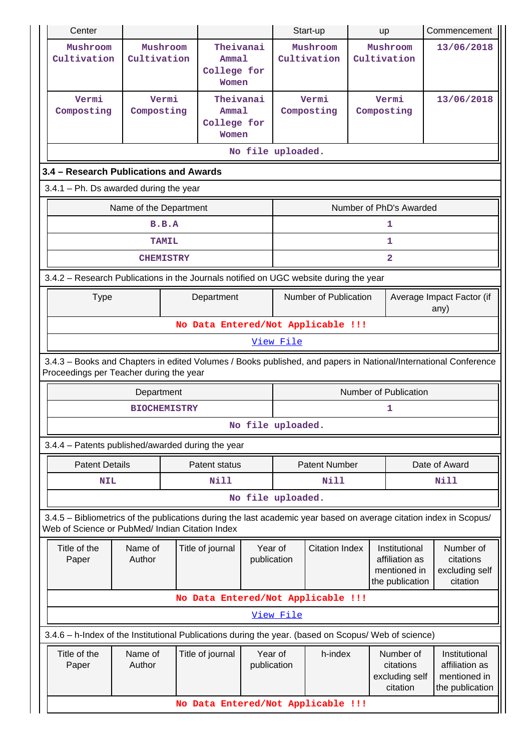| Center                                                                                                                                                                |                         |  |                                            |                        |             | Start-up                               |  | <b>up</b>                                                          | Commencement                                                       |  |  |  |
|-----------------------------------------------------------------------------------------------------------------------------------------------------------------------|-------------------------|--|--------------------------------------------|------------------------|-------------|----------------------------------------|--|--------------------------------------------------------------------|--------------------------------------------------------------------|--|--|--|
| Mushroom<br>Cultivation                                                                                                                                               | Mushroom<br>Cultivation |  | Theivanai<br>Ammal<br>College for<br>Women |                        |             | Mushroom<br>Cultivation<br>Cultivation |  | Mushroom                                                           | 13/06/2018                                                         |  |  |  |
| Vermi<br>Composting                                                                                                                                                   | Vermi<br>Composting     |  | Theivanai<br>Ammal<br>College for<br>Women |                        |             | Vermi<br>Composting                    |  | Vermi<br>Composting                                                | 13/06/2018                                                         |  |  |  |
| No file uploaded.                                                                                                                                                     |                         |  |                                            |                        |             |                                        |  |                                                                    |                                                                    |  |  |  |
| 3.4 - Research Publications and Awards                                                                                                                                |                         |  |                                            |                        |             |                                        |  |                                                                    |                                                                    |  |  |  |
| $3.4.1$ – Ph. Ds awarded during the year                                                                                                                              |                         |  |                                            |                        |             |                                        |  |                                                                    |                                                                    |  |  |  |
| Number of PhD's Awarded<br>Name of the Department                                                                                                                     |                         |  |                                            |                        |             |                                        |  |                                                                    |                                                                    |  |  |  |
|                                                                                                                                                                       | B.B.A                   |  |                                            |                        |             |                                        |  | 1                                                                  |                                                                    |  |  |  |
|                                                                                                                                                                       | <b>TAMIL</b>            |  |                                            |                        |             |                                        |  | 1                                                                  |                                                                    |  |  |  |
|                                                                                                                                                                       | <b>CHEMISTRY</b>        |  |                                            |                        |             |                                        |  | $\overline{a}$                                                     |                                                                    |  |  |  |
| 3.4.2 - Research Publications in the Journals notified on UGC website during the year                                                                                 |                         |  |                                            |                        |             |                                        |  |                                                                    |                                                                    |  |  |  |
| <b>Type</b>                                                                                                                                                           |                         |  | Department                                 |                        |             | Number of Publication                  |  |                                                                    | Average Impact Factor (if<br>any)                                  |  |  |  |
|                                                                                                                                                                       |                         |  |                                            |                        |             | No Data Entered/Not Applicable !!!     |  |                                                                    |                                                                    |  |  |  |
|                                                                                                                                                                       |                         |  |                                            |                        | View File   |                                        |  |                                                                    |                                                                    |  |  |  |
| 3.4.3 - Books and Chapters in edited Volumes / Books published, and papers in National/International Conference<br>Proceedings per Teacher during the year            |                         |  |                                            |                        |             |                                        |  |                                                                    |                                                                    |  |  |  |
|                                                                                                                                                                       | Department              |  |                                            |                        |             |                                        |  | Number of Publication                                              |                                                                    |  |  |  |
|                                                                                                                                                                       | <b>BIOCHEMISTRY</b>     |  |                                            |                        |             |                                        |  | 1                                                                  |                                                                    |  |  |  |
|                                                                                                                                                                       |                         |  |                                            | No file uploaded.      |             |                                        |  |                                                                    |                                                                    |  |  |  |
| 3.4.4 - Patents published/awarded during the year                                                                                                                     |                         |  |                                            |                        |             |                                        |  |                                                                    |                                                                    |  |  |  |
| <b>Patent Details</b>                                                                                                                                                 |                         |  | Patent status                              |                        |             | <b>Patent Number</b>                   |  |                                                                    | Date of Award                                                      |  |  |  |
| <b>NIL</b>                                                                                                                                                            |                         |  | <b>Nill</b>                                |                        | <b>Nill</b> |                                        |  |                                                                    | Nill                                                               |  |  |  |
|                                                                                                                                                                       |                         |  |                                            | No file uploaded.      |             |                                        |  |                                                                    |                                                                    |  |  |  |
| 3.4.5 - Bibliometrics of the publications during the last academic year based on average citation index in Scopus/<br>Web of Science or PubMed/ Indian Citation Index |                         |  |                                            |                        |             |                                        |  |                                                                    |                                                                    |  |  |  |
| Title of the<br>Paper                                                                                                                                                 | Name of<br>Author       |  | Title of journal                           | Year of<br>publication |             | <b>Citation Index</b>                  |  | Institutional<br>affiliation as<br>mentioned in<br>the publication | Number of<br>citations<br>excluding self<br>citation               |  |  |  |
|                                                                                                                                                                       |                         |  |                                            |                        |             | No Data Entered/Not Applicable !!!     |  |                                                                    |                                                                    |  |  |  |
|                                                                                                                                                                       |                         |  |                                            |                        | View File   |                                        |  |                                                                    |                                                                    |  |  |  |
| 3.4.6 - h-Index of the Institutional Publications during the year. (based on Scopus/ Web of science)                                                                  |                         |  |                                            |                        |             |                                        |  |                                                                    |                                                                    |  |  |  |
| Title of the<br>Paper                                                                                                                                                 | Name of<br>Author       |  | Title of journal                           | Year of<br>publication |             | h-index                                |  | Number of<br>citations<br>excluding self<br>citation               | Institutional<br>affiliation as<br>mentioned in<br>the publication |  |  |  |
| No Data Entered/Not Applicable !!!                                                                                                                                    |                         |  |                                            |                        |             |                                        |  |                                                                    |                                                                    |  |  |  |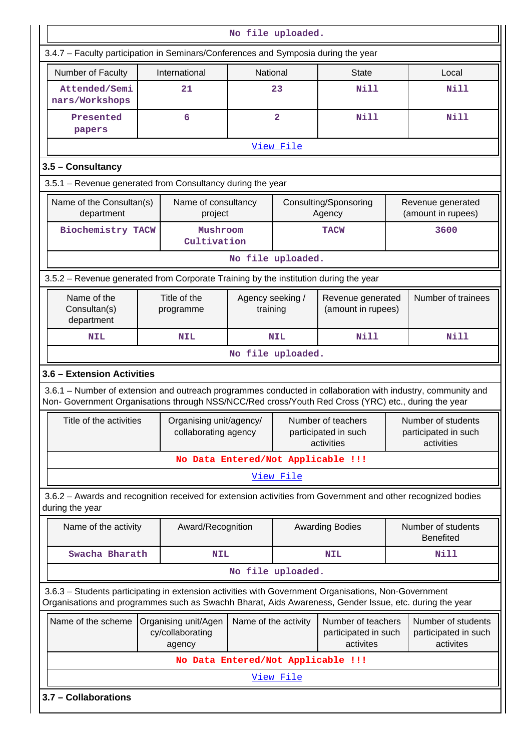| No file uploaded.                                                                                                                                                                                                  |  |                                                                      |                              |                         |                                                         |  |                                                          |  |  |  |
|--------------------------------------------------------------------------------------------------------------------------------------------------------------------------------------------------------------------|--|----------------------------------------------------------------------|------------------------------|-------------------------|---------------------------------------------------------|--|----------------------------------------------------------|--|--|--|
| 3.4.7 - Faculty participation in Seminars/Conferences and Symposia during the year                                                                                                                                 |  |                                                                      |                              |                         |                                                         |  |                                                          |  |  |  |
| Number of Faculty<br>International<br>National<br><b>State</b><br>Local                                                                                                                                            |  |                                                                      |                              |                         |                                                         |  |                                                          |  |  |  |
| Attended/Semi<br>nars/Workshops                                                                                                                                                                                    |  | 21                                                                   |                              | 23                      | <b>Nill</b>                                             |  | <b>Nill</b>                                              |  |  |  |
| Presented<br>papers                                                                                                                                                                                                |  | 6                                                                    |                              | $\overline{\mathbf{2}}$ | <b>Nill</b>                                             |  | <b>Nill</b>                                              |  |  |  |
| View File                                                                                                                                                                                                          |  |                                                                      |                              |                         |                                                         |  |                                                          |  |  |  |
| 3.5 - Consultancy                                                                                                                                                                                                  |  |                                                                      |                              |                         |                                                         |  |                                                          |  |  |  |
| 3.5.1 - Revenue generated from Consultancy during the year                                                                                                                                                         |  |                                                                      |                              |                         |                                                         |  |                                                          |  |  |  |
| Name of the Consultan(s)<br>Name of consultancy<br>Consulting/Sponsoring<br>Revenue generated<br>(amount in rupees)<br>department<br>Agency<br>project                                                             |  |                                                                      |                              |                         |                                                         |  |                                                          |  |  |  |
| Biochemistry TACW                                                                                                                                                                                                  |  | Mushroom<br>Cultivation                                              |                              |                         | <b>TACW</b>                                             |  | 3600                                                     |  |  |  |
|                                                                                                                                                                                                                    |  |                                                                      | No file uploaded.            |                         |                                                         |  |                                                          |  |  |  |
| 3.5.2 - Revenue generated from Corporate Training by the institution during the year                                                                                                                               |  |                                                                      |                              |                         |                                                         |  |                                                          |  |  |  |
| Name of the<br>Consultan(s)<br>department                                                                                                                                                                          |  | Title of the<br>programme                                            | Agency seeking /<br>training |                         | Revenue generated<br>(amount in rupees)                 |  | Number of trainees                                       |  |  |  |
| <b>NIL</b>                                                                                                                                                                                                         |  | <b>NIL</b>                                                           |                              | <b>NIL</b>              | <b>Nill</b>                                             |  | <b>Nill</b>                                              |  |  |  |
|                                                                                                                                                                                                                    |  |                                                                      | No file uploaded.            |                         |                                                         |  |                                                          |  |  |  |
| 3.6 - Extension Activities                                                                                                                                                                                         |  |                                                                      |                              |                         |                                                         |  |                                                          |  |  |  |
| 3.6.1 – Number of extension and outreach programmes conducted in collaboration with industry, community and<br>Non- Government Organisations through NSS/NCC/Red cross/Youth Red Cross (YRC) etc., during the year |  |                                                                      |                              |                         |                                                         |  |                                                          |  |  |  |
| Title of the activities                                                                                                                                                                                            |  | Organising unit/agency/   Number of teachers<br>collaborating agency |                              |                         | participated in such<br>activities                      |  | Number of students<br>participated in such<br>activities |  |  |  |
|                                                                                                                                                                                                                    |  | No Data Entered/Not Applicable !!!                                   |                              |                         |                                                         |  |                                                          |  |  |  |
|                                                                                                                                                                                                                    |  |                                                                      |                              | View File               |                                                         |  |                                                          |  |  |  |
| 3.6.2 - Awards and recognition received for extension activities from Government and other recognized bodies<br>during the year                                                                                    |  |                                                                      |                              |                         |                                                         |  |                                                          |  |  |  |
| Name of the activity                                                                                                                                                                                               |  | Award/Recognition                                                    |                              |                         | <b>Awarding Bodies</b>                                  |  | Number of students<br><b>Benefited</b>                   |  |  |  |
| Swacha Bharath                                                                                                                                                                                                     |  | <b>NIL</b>                                                           |                              |                         | <b>NIL</b>                                              |  | Nill                                                     |  |  |  |
|                                                                                                                                                                                                                    |  |                                                                      | No file uploaded.            |                         |                                                         |  |                                                          |  |  |  |
| 3.6.3 - Students participating in extension activities with Government Organisations, Non-Government<br>Organisations and programmes such as Swachh Bharat, Aids Awareness, Gender Issue, etc. during the year     |  |                                                                      |                              |                         |                                                         |  |                                                          |  |  |  |
| Name of the scheme                                                                                                                                                                                                 |  | Organising unit/Agen<br>cy/collaborating<br>agency                   | Name of the activity         |                         | Number of teachers<br>participated in such<br>activites |  | Number of students<br>participated in such<br>activites  |  |  |  |
|                                                                                                                                                                                                                    |  | No Data Entered/Not Applicable !!!                                   |                              |                         |                                                         |  |                                                          |  |  |  |
|                                                                                                                                                                                                                    |  |                                                                      |                              | View File               |                                                         |  |                                                          |  |  |  |
| 3.7 - Collaborations                                                                                                                                                                                               |  |                                                                      |                              |                         |                                                         |  |                                                          |  |  |  |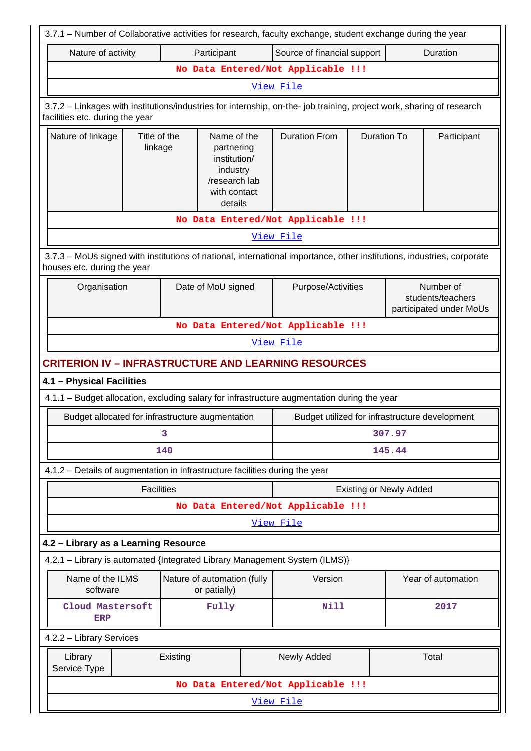| 3.7.1 - Number of Collaborative activities for research, faculty exchange, student exchange during the year                                              |                                                                                                              |                    |              |                                                |                                |                    |                                                           |
|----------------------------------------------------------------------------------------------------------------------------------------------------------|--------------------------------------------------------------------------------------------------------------|--------------------|--------------|------------------------------------------------|--------------------------------|--------------------|-----------------------------------------------------------|
|                                                                                                                                                          | Source of financial support<br>Duration<br>Nature of activity<br>Participant                                 |                    |              |                                                |                                |                    |                                                           |
|                                                                                                                                                          |                                                                                                              |                    |              | No Data Entered/Not Applicable !!!             |                                |                    |                                                           |
|                                                                                                                                                          |                                                                                                              |                    |              | View File                                      |                                |                    |                                                           |
| 3.7.2 - Linkages with institutions/industries for internship, on-the- job training, project work, sharing of research<br>facilities etc. during the year |                                                                                                              |                    |              |                                                |                                |                    |                                                           |
| Nature of linkage                                                                                                                                        | Title of the<br>Name of the<br>linkage<br>partnering<br>institution/<br>industry<br>/research lab<br>details |                    | with contact | <b>Duration From</b>                           | <b>Duration To</b>             |                    | Participant                                               |
|                                                                                                                                                          |                                                                                                              |                    |              | No Data Entered/Not Applicable !!!             |                                |                    |                                                           |
|                                                                                                                                                          |                                                                                                              |                    |              | View File                                      |                                |                    |                                                           |
| 3.7.3 - MoUs signed with institutions of national, international importance, other institutions, industries, corporate<br>houses etc. during the year    |                                                                                                              |                    |              |                                                |                                |                    |                                                           |
| Organisation                                                                                                                                             |                                                                                                              | Date of MoU signed |              | Purpose/Activities                             |                                |                    | Number of<br>students/teachers<br>participated under MoUs |
| No Data Entered/Not Applicable !!!                                                                                                                       |                                                                                                              |                    |              |                                                |                                |                    |                                                           |
|                                                                                                                                                          |                                                                                                              |                    |              | View File                                      |                                |                    |                                                           |
| <b>CRITERION IV - INFRASTRUCTURE AND LEARNING RESOURCES</b>                                                                                              |                                                                                                              |                    |              |                                                |                                |                    |                                                           |
| 4.1 - Physical Facilities                                                                                                                                |                                                                                                              |                    |              |                                                |                                |                    |                                                           |
| 4.1.1 - Budget allocation, excluding salary for infrastructure augmentation during the year                                                              |                                                                                                              |                    |              |                                                |                                |                    |                                                           |
| Budget allocated for infrastructure augmentation                                                                                                         |                                                                                                              |                    |              | Budget utilized for infrastructure development |                                |                    |                                                           |
|                                                                                                                                                          |                                                                                                              | 3                  |              |                                                |                                | 307.97             |                                                           |
|                                                                                                                                                          |                                                                                                              | 140                |              |                                                |                                | 145.44             |                                                           |
| 4.1.2 - Details of augmentation in infrastructure facilities during the year                                                                             |                                                                                                              |                    |              |                                                |                                |                    |                                                           |
|                                                                                                                                                          | <b>Facilities</b>                                                                                            |                    |              |                                                | <b>Existing or Newly Added</b> |                    |                                                           |
|                                                                                                                                                          |                                                                                                              |                    |              | No Data Entered/Not Applicable !!!             |                                |                    |                                                           |
|                                                                                                                                                          |                                                                                                              |                    |              | View File                                      |                                |                    |                                                           |
|                                                                                                                                                          | 4.2 - Library as a Learning Resource                                                                         |                    |              |                                                |                                |                    |                                                           |
| 4.2.1 - Library is automated {Integrated Library Management System (ILMS)}                                                                               |                                                                                                              |                    |              |                                                |                                |                    |                                                           |
| software                                                                                                                                                 | Name of the ILMS<br>Nature of automation (fully<br>or patially)                                              |                    | Version      |                                                |                                | Year of automation |                                                           |
| Cloud Mastersoft<br><b>ERP</b>                                                                                                                           |                                                                                                              |                    | Fully        | Nill                                           |                                |                    | 2017                                                      |
|                                                                                                                                                          | 4.2.2 - Library Services                                                                                     |                    |              |                                                |                                |                    |                                                           |
| Library<br>Service Type                                                                                                                                  |                                                                                                              | Existing           |              | Total<br>Newly Added                           |                                |                    |                                                           |
|                                                                                                                                                          |                                                                                                              |                    |              | No Data Entered/Not Applicable !!!             |                                |                    |                                                           |
|                                                                                                                                                          | View File                                                                                                    |                    |              |                                                |                                |                    |                                                           |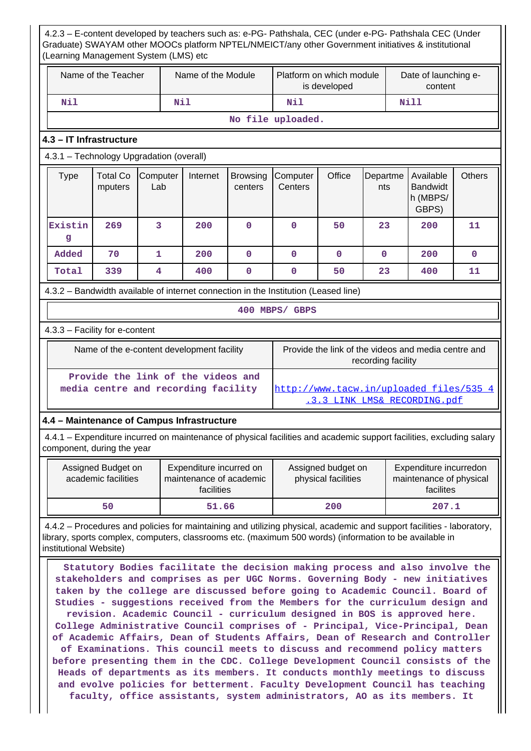4.2.3 – E-content developed by teachers such as: e-PG- Pathshala, CEC (under e-PG- Pathshala CEC (Under Graduate) SWAYAM other MOOCs platform NPTEL/NMEICT/any other Government initiatives & institutional (Learning Management System (LMS) etc Name of the Teacher  $\parallel$  Name of the Module Platform on which module is developed Date of launching econtent  **Nil Nil Nil Nill No file uploaded. 4.3 – IT Infrastructure** 4.3.1 – Technology Upgradation (overall)  $Type \mid Total Co$ mputers **Computer** Lab Internet Browsing centers **Computer Centers** Office Departme nts Available Bandwidt h (MBPS/ GBPS) **Others Existin g 269 3 200 0 0 50 23 200 11 Added 70 1 200 0 0 0 0 200 0 Total 339 4 400 0 0 50 23 400 11** 4.3.2 – Bandwidth available of internet connection in the Institution (Leased line) **400 MBPS/ GBPS** 4.3.3 – Facility for e-content Name of the e-content development facility Frovide the link of the videos and media centre and recording facility  **Provide the link of the videos and media centre and recording facility** [http://www.tacw.in/uploaded\\_files/535\\_4](http://www.tacw.in/uploaded_files/535_4.3.3_LINK_LMS&_RECORDING.pdf) [.3.3\\_LINK\\_LMS&\\_RECORDING.pdf](http://www.tacw.in/uploaded_files/535_4.3.3_LINK_LMS&_RECORDING.pdf) **4.4 – Maintenance of Campus Infrastructure** 4.4.1 – Expenditure incurred on maintenance of physical facilities and academic support facilities, excluding salary component, during the year Assigned Budget on academic facilities Expenditure incurred on maintenance of academic facilities Assigned budget on physical facilities Expenditure incurredon maintenance of physical facilites  **50 51.66 200 207.1** 4.4.2 – Procedures and policies for maintaining and utilizing physical, academic and support facilities - laboratory, library, sports complex, computers, classrooms etc. (maximum 500 words) (information to be available in institutional Website) **Statutory Bodies facilitate the decision making process and also involve the stakeholders and comprises as per UGC Norms. Governing Body - new initiatives taken by the college are discussed before going to Academic Council. Board of Studies - suggestions received from the Members for the curriculum design and revision. Academic Council - curriculum designed in BOS is approved here. College Administrative Council comprises of - Principal, Vice-Principal, Dean of Academic Affairs, Dean of Students Affairs, Dean of Research and Controller of Examinations. This council meets to discuss and recommend policy matters before presenting them in the CDC. College Development Council consists of the Heads of departments as its members. It conducts monthly meetings to discuss and evolve policies for betterment. Faculty Development Council has teaching faculty, office assistants, system administrators, AO as its members. It**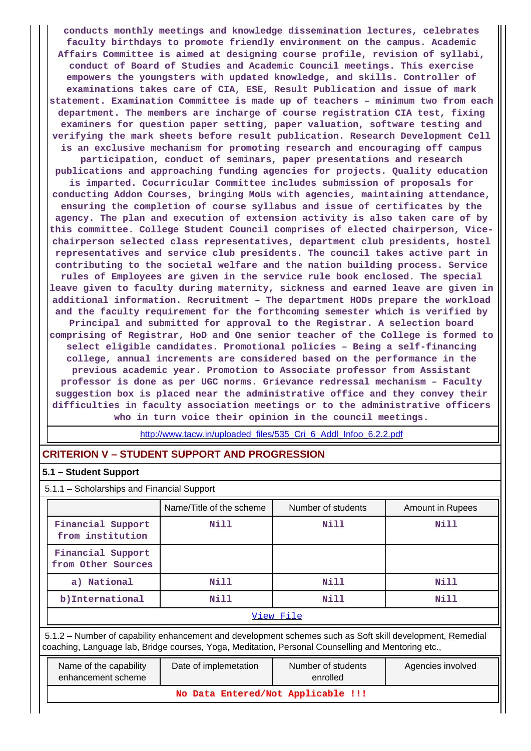**conducts monthly meetings and knowledge dissemination lectures, celebrates faculty birthdays to promote friendly environment on the campus. Academic Affairs Committee is aimed at designing course profile, revision of syllabi, conduct of Board of Studies and Academic Council meetings. This exercise empowers the youngsters with updated knowledge, and skills. Controller of examinations takes care of CIA, ESE, Result Publication and issue of mark statement. Examination Committee is made up of teachers – minimum two from each department. The members are incharge of course registration CIA test, fixing examiners for question paper setting, paper valuation, software testing and verifying the mark sheets before result publication. Research Development Cell is an exclusive mechanism for promoting research and encouraging off campus participation, conduct of seminars, paper presentations and research publications and approaching funding agencies for projects. Quality education is imparted. Cocurricular Committee includes submission of proposals for conducting Addon Courses, bringing MoUs with agencies, maintaining attendance, ensuring the completion of course syllabus and issue of certificates by the agency. The plan and execution of extension activity is also taken care of by this committee. College Student Council comprises of elected chairperson, Vicechairperson selected class representatives, department club presidents, hostel representatives and service club presidents. The council takes active part in contributing to the societal welfare and the nation building process. Service rules of Employees are given in the service rule book enclosed. The special leave given to faculty during maternity, sickness and earned leave are given in additional information. Recruitment – The department HODs prepare the workload and the faculty requirement for the forthcoming semester which is verified by Principal and submitted for approval to the Registrar. A selection board comprising of Registrar, HoD and One senior teacher of the College is formed to select eligible candidates. Promotional policies – Being a self-financing college, annual increments are considered based on the performance in the previous academic year. Promotion to Associate professor from Assistant professor is done as per UGC norms. Grievance redressal mechanism – Faculty suggestion box is placed near the administrative office and they convey their difficulties in faculty association meetings or to the administrative officers who in turn voice their opinion in the council meetings.**

[http://www.tacw.in/uploaded\\_files/535\\_Cri\\_6\\_Addl\\_Infoo\\_6.2.2.pdf](http://www.tacw.in/uploaded_files/535_Cri_6_Addl_Infoo_6.2.2.pdf)

# **CRITERION V – STUDENT SUPPORT AND PROGRESSION**

### **5.1 – Student Support**

5.1.1 – Scholarships and Financial Support

|                                         | Name/Title of the scheme | Number of students | Amount in Rupees |  |  |
|-----------------------------------------|--------------------------|--------------------|------------------|--|--|
| Financial Support<br>from institution   | Nill                     | Nill               | Nill             |  |  |
| Financial Support<br>from Other Sources |                          |                    |                  |  |  |
| a) National                             | Nill                     | Nill               | Nill             |  |  |
| b)International                         | Nill                     | Nill               | Nill             |  |  |
| View File                               |                          |                    |                  |  |  |

 5.1.2 – Number of capability enhancement and development schemes such as Soft skill development, Remedial coaching, Language lab, Bridge courses, Yoga, Meditation, Personal Counselling and Mentoring etc.,

| Name of the capability<br>enhancement scheme | Date of implemetation | Number of students<br>enrolled | Agencies involved |  |  |
|----------------------------------------------|-----------------------|--------------------------------|-------------------|--|--|
| No Data Entered/Not Applicable !!!           |                       |                                |                   |  |  |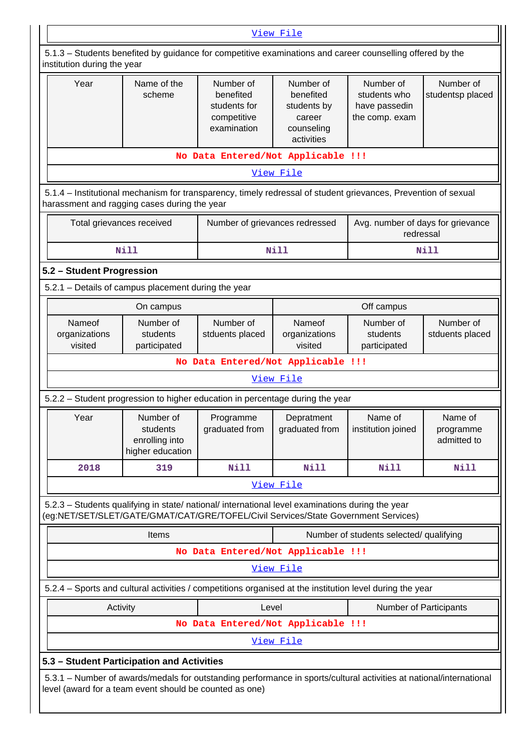|                                                                                                                                                                                        | View File                                                                                                |                                                                      |                                                                             |                                                              |                                     |  |
|----------------------------------------------------------------------------------------------------------------------------------------------------------------------------------------|----------------------------------------------------------------------------------------------------------|----------------------------------------------------------------------|-----------------------------------------------------------------------------|--------------------------------------------------------------|-------------------------------------|--|
| 5.1.3 - Students benefited by guidance for competitive examinations and career counselling offered by the<br>institution during the year                                               |                                                                                                          |                                                                      |                                                                             |                                                              |                                     |  |
| Year                                                                                                                                                                                   | Name of the<br>scheme                                                                                    | Number of<br>benefited<br>students for<br>competitive<br>examination | Number of<br>benefited<br>students by<br>career<br>counseling<br>activities | Number of<br>students who<br>have passedin<br>the comp. exam | Number of<br>studentsp placed       |  |
| No Data Entered/Not Applicable !!!                                                                                                                                                     |                                                                                                          |                                                                      |                                                                             |                                                              |                                     |  |
|                                                                                                                                                                                        | View File                                                                                                |                                                                      |                                                                             |                                                              |                                     |  |
| 5.1.4 – Institutional mechanism for transparency, timely redressal of student grievances, Prevention of sexual<br>harassment and ragging cases during the year                         |                                                                                                          |                                                                      |                                                                             |                                                              |                                     |  |
| Total grievances received                                                                                                                                                              |                                                                                                          | Number of grievances redressed                                       |                                                                             | Avg. number of days for grievance<br>redressal               |                                     |  |
|                                                                                                                                                                                        | <b>Nill</b>                                                                                              |                                                                      | <b>Nill</b>                                                                 |                                                              | <b>Nill</b>                         |  |
| 5.2 - Student Progression                                                                                                                                                              |                                                                                                          |                                                                      |                                                                             |                                                              |                                     |  |
| 5.2.1 - Details of campus placement during the year                                                                                                                                    |                                                                                                          |                                                                      |                                                                             |                                                              |                                     |  |
|                                                                                                                                                                                        | On campus                                                                                                |                                                                      | Nameof                                                                      | Off campus                                                   |                                     |  |
| Nameof<br>organizations<br>visited                                                                                                                                                     | students<br>participated                                                                                 | Number of<br>Number of<br>stduents placed                            |                                                                             | Number of<br>students<br>participated                        | Number of<br>stduents placed        |  |
|                                                                                                                                                                                        |                                                                                                          | No Data Entered/Not Applicable !!!                                   |                                                                             |                                                              |                                     |  |
|                                                                                                                                                                                        |                                                                                                          |                                                                      | View File                                                                   |                                                              |                                     |  |
| 5.2.2 – Student progression to higher education in percentage during the year                                                                                                          |                                                                                                          |                                                                      |                                                                             |                                                              |                                     |  |
| Year                                                                                                                                                                                   | Number of<br>students<br>enrolling into<br>higher education                                              | Programme<br>graduated from                                          | Depratment<br>graduated from                                                | Name of<br>institution joined                                | Name of<br>programme<br>admitted to |  |
| 2018                                                                                                                                                                                   | 319                                                                                                      | Nill                                                                 | <b>Nill</b>                                                                 | Nill                                                         | Nill                                |  |
|                                                                                                                                                                                        |                                                                                                          |                                                                      | View File                                                                   |                                                              |                                     |  |
| 5.2.3 - Students qualifying in state/ national/ international level examinations during the year<br>(eg:NET/SET/SLET/GATE/GMAT/CAT/GRE/TOFEL/Civil Services/State Government Services) |                                                                                                          |                                                                      |                                                                             |                                                              |                                     |  |
|                                                                                                                                                                                        | Items                                                                                                    |                                                                      |                                                                             | Number of students selected/ qualifying                      |                                     |  |
|                                                                                                                                                                                        |                                                                                                          | No Data Entered/Not Applicable !!!                                   |                                                                             |                                                              |                                     |  |
|                                                                                                                                                                                        |                                                                                                          |                                                                      | View File                                                                   |                                                              |                                     |  |
|                                                                                                                                                                                        | 5.2.4 – Sports and cultural activities / competitions organised at the institution level during the year |                                                                      |                                                                             |                                                              |                                     |  |
| Activity<br>Level<br><b>Number of Participants</b>                                                                                                                                     |                                                                                                          |                                                                      |                                                                             |                                                              |                                     |  |
|                                                                                                                                                                                        | No Data Entered/Not Applicable !!!                                                                       |                                                                      |                                                                             |                                                              |                                     |  |
|                                                                                                                                                                                        |                                                                                                          |                                                                      | View File                                                                   |                                                              |                                     |  |
| 5.3 - Student Participation and Activities                                                                                                                                             |                                                                                                          |                                                                      |                                                                             |                                                              |                                     |  |
| 5.3.1 – Number of awards/medals for outstanding performance in sports/cultural activities at national/international<br>level (award for a team event should be counted as one)         |                                                                                                          |                                                                      |                                                                             |                                                              |                                     |  |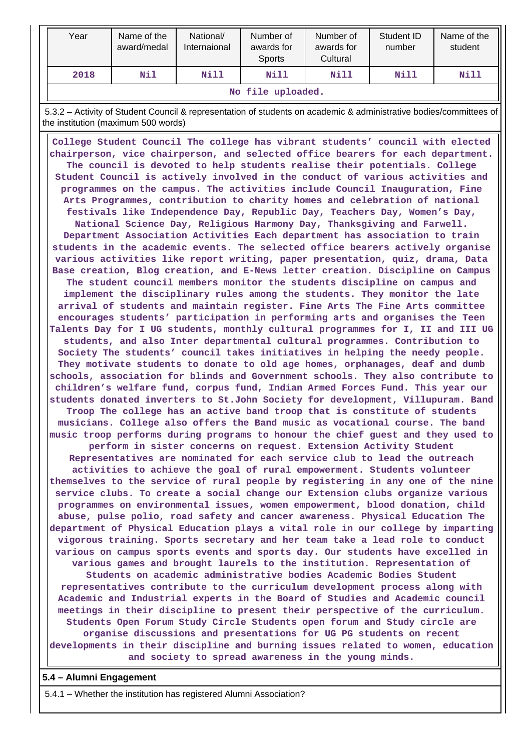| Year | Name of the<br>award/medal                  | National/<br>Internaional | Number of<br>awards for<br><b>Sports</b> | Number of<br>awards for<br>Cultural | Student ID<br>number | Name of the<br>student |  |
|------|---------------------------------------------|---------------------------|------------------------------------------|-------------------------------------|----------------------|------------------------|--|
| 2018 | Nill<br>Nill<br>Nil<br>Nill<br>Nill<br>Nill |                           |                                          |                                     |                      |                        |  |
|      | No file uploaded.                           |                           |                                          |                                     |                      |                        |  |

 5.3.2 – Activity of Student Council & representation of students on academic & administrative bodies/committees of the institution (maximum 500 words)

 **College Student Council The college has vibrant students' council with elected chairperson, vice chairperson, and selected office bearers for each department. The council is devoted to help students realise their potentials. College Student Council is actively involved in the conduct of various activities and programmes on the campus. The activities include Council Inauguration, Fine Arts Programmes, contribution to charity homes and celebration of national festivals like Independence Day, Republic Day, Teachers Day, Women's Day, National Science Day, Religious Harmony Day, Thanksgiving and Farwell. Department Association Activities Each department has association to train students in the academic events. The selected office bearers actively organise various activities like report writing, paper presentation, quiz, drama, Data Base creation, Blog creation, and E-News letter creation. Discipline on Campus The student council members monitor the students discipline on campus and implement the disciplinary rules among the students. They monitor the late arrival of students and maintain register. Fine Arts The Fine Arts committee encourages students' participation in performing arts and organises the Teen Talents Day for I UG students, monthly cultural programmes for I, II and III UG students, and also Inter departmental cultural programmes. Contribution to Society The students' council takes initiatives in helping the needy people. They motivate students to donate to old age homes, orphanages, deaf and dumb schools, association for blinds and Government schools. They also contribute to children's welfare fund, corpus fund, Indian Armed Forces Fund. This year our students donated inverters to St.John Society for development, Villupuram. Band Troop The college has an active band troop that is constitute of students musicians. College also offers the Band music as vocational course. The band music troop performs during programs to honour the chief guest and they used to perform in sister concerns on request. Extension Activity Student Representatives are nominated for each service club to lead the outreach activities to achieve the goal of rural empowerment. Students volunteer themselves to the service of rural people by registering in any one of the nine service clubs. To create a social change our Extension clubs organize various programmes on environmental issues, women empowerment, blood donation, child abuse, pulse polio, road safety and cancer awareness. Physical Education The department of Physical Education plays a vital role in our college by imparting vigorous training. Sports secretary and her team take a lead role to conduct various on campus sports events and sports day. Our students have excelled in various games and brought laurels to the institution. Representation of Students on academic administrative bodies Academic Bodies Student representatives contribute to the curriculum development process along with Academic and Industrial experts in the Board of Studies and Academic council meetings in their discipline to present their perspective of the curriculum. Students Open Forum Study Circle Students open forum and Study circle are organise discussions and presentations for UG PG students on recent developments in their discipline and burning issues related to women, education and society to spread awareness in the young minds.**

**5.4 – Alumni Engagement**

5.4.1 – Whether the institution has registered Alumni Association?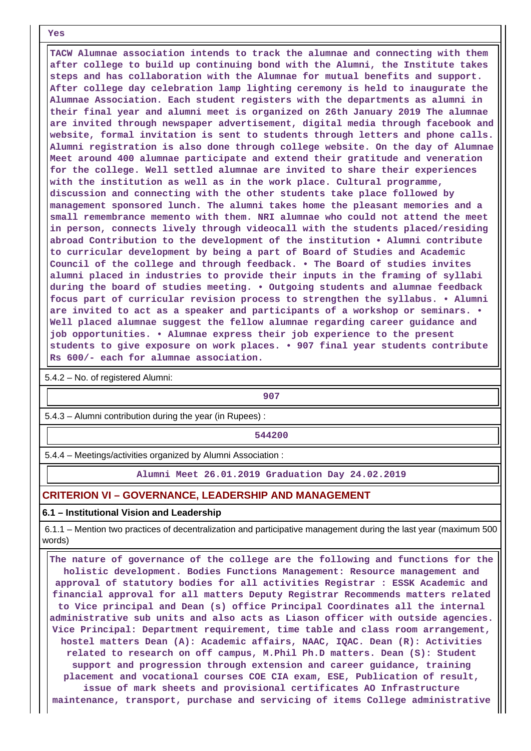**Yes**

 **TACW Alumnae association intends to track the alumnae and connecting with them after college to build up continuing bond with the Alumni, the Institute takes steps and has collaboration with the Alumnae for mutual benefits and support. After college day celebration lamp lighting ceremony is held to inaugurate the Alumnae Association. Each student registers with the departments as alumni in their final year and alumni meet is organized on 26th January 2019 The alumnae are invited through newspaper advertisement, digital media through facebook and website, formal invitation is sent to students through letters and phone calls. Alumni registration is also done through college website. On the day of Alumnae Meet around 400 alumnae participate and extend their gratitude and veneration for the college. Well settled alumnae are invited to share their experiences with the institution as well as in the work place. Cultural programme, discussion and connecting with the other students take place followed by management sponsored lunch. The alumni takes home the pleasant memories and a small remembrance memento with them. NRI alumnae who could not attend the meet in person, connects lively through videocall with the students placed/residing abroad Contribution to the development of the institution • Alumni contribute to curricular development by being a part of Board of Studies and Academic Council of the college and through feedback. • The Board of studies invites alumni placed in industries to provide their inputs in the framing of syllabi during the board of studies meeting. • Outgoing students and alumnae feedback focus part of curricular revision process to strengthen the syllabus. • Alumni are invited to act as a speaker and participants of a workshop or seminars. • Well placed alumnae suggest the fellow alumnae regarding career guidance and job opportunities. • Alumnae express their job experience to the present students to give exposure on work places. • 907 final year students contribute Rs 600/- each for alumnae association.**

5.4.2 – No. of registered Alumni:

**907**

5.4.3 – Alumni contribution during the year (in Rupees) :

**544200**

5.4.4 – Meetings/activities organized by Alumni Association :

**Alumni Meet 26.01.2019 Graduation Day 24.02.2019**

### **CRITERION VI – GOVERNANCE, LEADERSHIP AND MANAGEMENT**

#### **6.1 – Institutional Vision and Leadership**

 6.1.1 – Mention two practices of decentralization and participative management during the last year (maximum 500 words)

 **The nature of governance of the college are the following and functions for the holistic development. Bodies Functions Management: Resource management and approval of statutory bodies for all activities Registrar : ESSK Academic and financial approval for all matters Deputy Registrar Recommends matters related to Vice principal and Dean (s) office Principal Coordinates all the internal administrative sub units and also acts as Liason officer with outside agencies. Vice Principal: Department requirement, time table and class room arrangement, hostel matters Dean (A): Academic affairs, NAAC, IQAC. Dean (R): Activities related to research on off campus, M.Phil Ph.D matters. Dean (S): Student support and progression through extension and career guidance, training placement and vocational courses COE CIA exam, ESE, Publication of result, issue of mark sheets and provisional certificates AO Infrastructure maintenance, transport, purchase and servicing of items College administrative**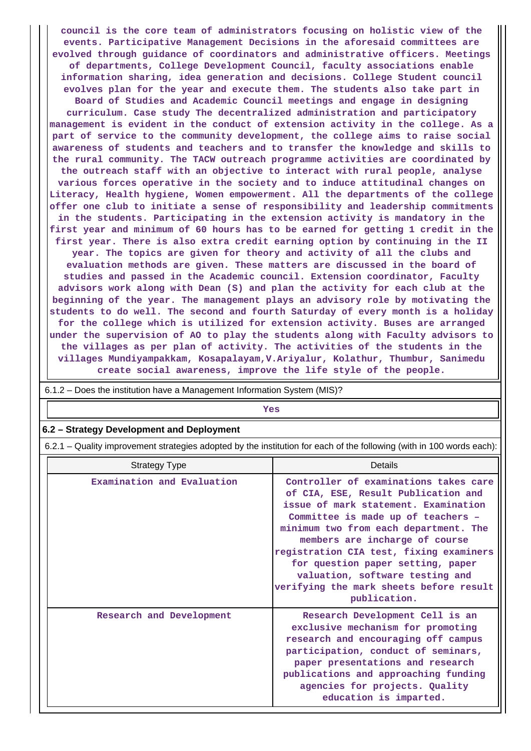**council is the core team of administrators focusing on holistic view of the events. Participative Management Decisions in the aforesaid committees are evolved through guidance of coordinators and administrative officers. Meetings of departments, College Development Council, faculty associations enable information sharing, idea generation and decisions. College Student council evolves plan for the year and execute them. The students also take part in Board of Studies and Academic Council meetings and engage in designing curriculum. Case study The decentralized administration and participatory management is evident in the conduct of extension activity in the college. As a part of service to the community development, the college aims to raise social awareness of students and teachers and to transfer the knowledge and skills to the rural community. The TACW outreach programme activities are coordinated by the outreach staff with an objective to interact with rural people, analyse various forces operative in the society and to induce attitudinal changes on Literacy, Health hygiene, Women empowerment. All the departments of the college offer one club to initiate a sense of responsibility and leadership commitments in the students. Participating in the extension activity is mandatory in the first year and minimum of 60 hours has to be earned for getting 1 credit in the first year. There is also extra credit earning option by continuing in the II year. The topics are given for theory and activity of all the clubs and evaluation methods are given. These matters are discussed in the board of studies and passed in the Academic council. Extension coordinator, Faculty advisors work along with Dean (S) and plan the activity for each club at the beginning of the year. The management plays an advisory role by motivating the students to do well. The second and fourth Saturday of every month is a holiday for the college which is utilized for extension activity. Buses are arranged under the supervision of AO to play the students along with Faculty advisors to the villages as per plan of activity. The activities of the students in the villages Mundiyampakkam, Kosapalayam,V.Ariyalur, Kolathur, Thumbur, Sanimedu create social awareness, improve the life style of the people.**

| 6.1.2 – Does the institution have a Management Information System (MIS)?                                              |                                                                                                                                                            |  |  |  |
|-----------------------------------------------------------------------------------------------------------------------|------------------------------------------------------------------------------------------------------------------------------------------------------------|--|--|--|
| <b>Yes</b>                                                                                                            |                                                                                                                                                            |  |  |  |
| 6.2 – Strategy Development and Deployment                                                                             |                                                                                                                                                            |  |  |  |
| 6.2.1 – Quality improvement strategies adopted by the institution for each of the following (with in 100 words each): |                                                                                                                                                            |  |  |  |
| Details<br>Strategy Type                                                                                              |                                                                                                                                                            |  |  |  |
| Examination and Evaluation                                                                                            | Controller of examinations takes care<br>of CIA, ESE, Result Publication and<br>issue of mark statement. Examination<br>Committee is made up of teachers - |  |  |  |

**Research and** 

|             | publication.                                                                                                                                                                                                                                                                               |
|-------------|--------------------------------------------------------------------------------------------------------------------------------------------------------------------------------------------------------------------------------------------------------------------------------------------|
| Development | Research Development Cell is an<br>exclusive mechanism for promoting<br>research and encouraging off campus<br>participation, conduct of seminars,<br>paper presentations and research<br>publications and approaching funding<br>agencies for projects. Quality<br>education is imparted. |

**minimum two from each department. The members are incharge of course registration CIA test, fixing examiners for question paper setting, paper valuation, software testing and verifying the mark sheets before result**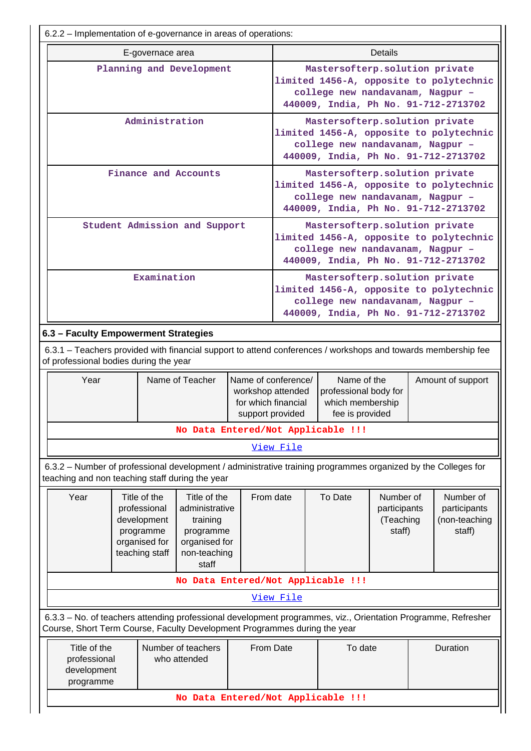| 6.2.2 – Implementation of e-governance in areas of operations:                                                                                                                             |                                      |                                                                                                                                                                                                  |                                                                                                                                                       |                                                                                                                                                       |                                                                                                                                                       |                                                                             |                                                  |                   |                                                                                 |
|--------------------------------------------------------------------------------------------------------------------------------------------------------------------------------------------|--------------------------------------|--------------------------------------------------------------------------------------------------------------------------------------------------------------------------------------------------|-------------------------------------------------------------------------------------------------------------------------------------------------------|-------------------------------------------------------------------------------------------------------------------------------------------------------|-------------------------------------------------------------------------------------------------------------------------------------------------------|-----------------------------------------------------------------------------|--------------------------------------------------|-------------------|---------------------------------------------------------------------------------|
|                                                                                                                                                                                            |                                      | E-governace area                                                                                                                                                                                 |                                                                                                                                                       |                                                                                                                                                       |                                                                                                                                                       |                                                                             | <b>Details</b>                                   |                   |                                                                                 |
|                                                                                                                                                                                            | Planning and Development             |                                                                                                                                                                                                  |                                                                                                                                                       | Mastersofterp.solution private<br>limited 1456-A, opposite to polytechnic<br>college new nandavanam, Nagpur -<br>440009, India, Ph No. 91-712-2713702 |                                                                                                                                                       |                                                                             |                                                  |                   |                                                                                 |
| Administration                                                                                                                                                                             |                                      |                                                                                                                                                                                                  | Mastersofterp.solution private<br>limited 1456-A, opposite to polytechnic<br>college new nandavanam, Nagpur -<br>440009, India, Ph No. 91-712-2713702 |                                                                                                                                                       |                                                                                                                                                       |                                                                             |                                                  |                   |                                                                                 |
|                                                                                                                                                                                            |                                      |                                                                                                                                                                                                  | Finance and Accounts                                                                                                                                  |                                                                                                                                                       |                                                                                                                                                       | Mastersofterp.solution private<br>college new nandavanam, Nagpur -          |                                                  |                   | limited 1456-A, opposite to polytechnic<br>440009, India, Ph No. 91-712-2713702 |
|                                                                                                                                                                                            |                                      |                                                                                                                                                                                                  | Student Admission and Support                                                                                                                         |                                                                                                                                                       |                                                                                                                                                       | Mastersofterp.solution private<br>college new nandavanam, Nagpur -          |                                                  |                   | limited 1456-A, opposite to polytechnic<br>440009, India, Ph No. 91-712-2713702 |
|                                                                                                                                                                                            |                                      | Examination                                                                                                                                                                                      |                                                                                                                                                       |                                                                                                                                                       | Mastersofterp.solution private<br>limited 1456-A, opposite to polytechnic<br>college new nandavanam, Nagpur -<br>440009, India, Ph No. 91-712-2713702 |                                                                             |                                                  |                   |                                                                                 |
|                                                                                                                                                                                            | 6.3 - Faculty Empowerment Strategies |                                                                                                                                                                                                  |                                                                                                                                                       |                                                                                                                                                       |                                                                                                                                                       |                                                                             |                                                  |                   |                                                                                 |
| 6.3.1 – Teachers provided with financial support to attend conferences / workshops and towards membership fee<br>of professional bodies during the year                                    |                                      |                                                                                                                                                                                                  |                                                                                                                                                       |                                                                                                                                                       |                                                                                                                                                       |                                                                             |                                                  |                   |                                                                                 |
| Year                                                                                                                                                                                       |                                      | Name of Teacher                                                                                                                                                                                  |                                                                                                                                                       | workshop attended<br>for which financial<br>support provided                                                                                          | Name of conference/                                                                                                                                   | Name of the<br>professional body for<br>which membership<br>fee is provided |                                                  | Amount of support |                                                                                 |
|                                                                                                                                                                                            |                                      |                                                                                                                                                                                                  | No Data Entered/Not Applicable !!!                                                                                                                    |                                                                                                                                                       |                                                                                                                                                       |                                                                             |                                                  |                   |                                                                                 |
|                                                                                                                                                                                            |                                      |                                                                                                                                                                                                  |                                                                                                                                                       |                                                                                                                                                       | View File                                                                                                                                             |                                                                             |                                                  |                   |                                                                                 |
| 6.3.2 - Number of professional development / administrative training programmes organized by the Colleges for<br>teaching and non teaching staff during the year                           |                                      |                                                                                                                                                                                                  |                                                                                                                                                       |                                                                                                                                                       |                                                                                                                                                       |                                                                             |                                                  |                   |                                                                                 |
| Year                                                                                                                                                                                       |                                      | Title of the<br>Title of the<br>professional<br>administrative<br>development<br>training<br>programme<br>programme<br>organised for<br>organised for<br>teaching staff<br>non-teaching<br>staff |                                                                                                                                                       |                                                                                                                                                       | From date<br>To Date                                                                                                                                  |                                                                             | Number of<br>participants<br>(Teaching<br>staff) |                   | Number of<br>participants<br>(non-teaching<br>staff)                            |
|                                                                                                                                                                                            | No Data Entered/Not Applicable !!!   |                                                                                                                                                                                                  |                                                                                                                                                       |                                                                                                                                                       |                                                                                                                                                       |                                                                             |                                                  |                   |                                                                                 |
|                                                                                                                                                                                            |                                      |                                                                                                                                                                                                  |                                                                                                                                                       |                                                                                                                                                       | <u>View File</u>                                                                                                                                      |                                                                             |                                                  |                   |                                                                                 |
| 6.3.3 - No. of teachers attending professional development programmes, viz., Orientation Programme, Refresher<br>Course, Short Term Course, Faculty Development Programmes during the year |                                      |                                                                                                                                                                                                  |                                                                                                                                                       |                                                                                                                                                       |                                                                                                                                                       |                                                                             |                                                  |                   |                                                                                 |
| Title of the<br>professional<br>development<br>programme                                                                                                                                   |                                      |                                                                                                                                                                                                  | Number of teachers<br>From Date<br>who attended                                                                                                       |                                                                                                                                                       |                                                                                                                                                       | To date                                                                     |                                                  |                   | Duration                                                                        |
|                                                                                                                                                                                            |                                      |                                                                                                                                                                                                  | No Data Entered/Not Applicable !!!                                                                                                                    |                                                                                                                                                       |                                                                                                                                                       |                                                                             |                                                  |                   |                                                                                 |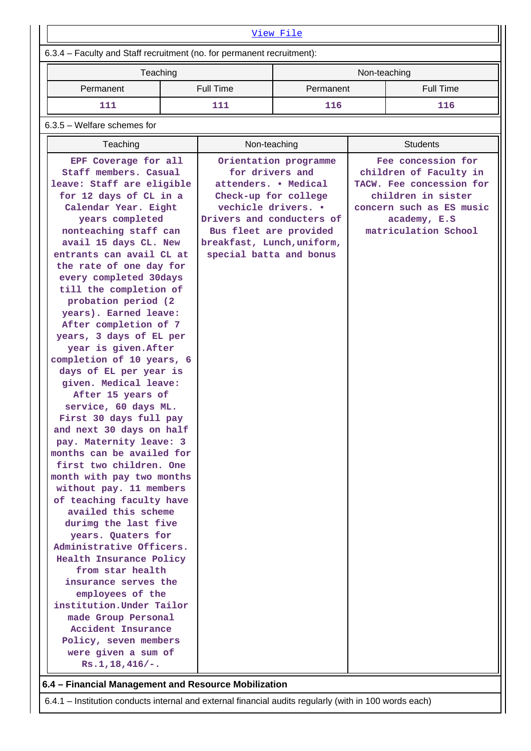| View File                                                                                                                                                                                                                                                                                                                                                                                                                                                                                                                                                                                                                                                                                                                                                                                                                                                                                                                                                                                                                                                                                                                                     |          |                                                                                                                                                                                                        |                       |              |                                                                                                                                                                    |  |
|-----------------------------------------------------------------------------------------------------------------------------------------------------------------------------------------------------------------------------------------------------------------------------------------------------------------------------------------------------------------------------------------------------------------------------------------------------------------------------------------------------------------------------------------------------------------------------------------------------------------------------------------------------------------------------------------------------------------------------------------------------------------------------------------------------------------------------------------------------------------------------------------------------------------------------------------------------------------------------------------------------------------------------------------------------------------------------------------------------------------------------------------------|----------|--------------------------------------------------------------------------------------------------------------------------------------------------------------------------------------------------------|-----------------------|--------------|--------------------------------------------------------------------------------------------------------------------------------------------------------------------|--|
| 6.3.4 - Faculty and Staff recruitment (no. for permanent recruitment):                                                                                                                                                                                                                                                                                                                                                                                                                                                                                                                                                                                                                                                                                                                                                                                                                                                                                                                                                                                                                                                                        |          |                                                                                                                                                                                                        |                       |              |                                                                                                                                                                    |  |
|                                                                                                                                                                                                                                                                                                                                                                                                                                                                                                                                                                                                                                                                                                                                                                                                                                                                                                                                                                                                                                                                                                                                               | Teaching |                                                                                                                                                                                                        |                       | Non-teaching |                                                                                                                                                                    |  |
| Permanent                                                                                                                                                                                                                                                                                                                                                                                                                                                                                                                                                                                                                                                                                                                                                                                                                                                                                                                                                                                                                                                                                                                                     |          | <b>Full Time</b>                                                                                                                                                                                       | Permanent             |              | <b>Full Time</b>                                                                                                                                                   |  |
| 111                                                                                                                                                                                                                                                                                                                                                                                                                                                                                                                                                                                                                                                                                                                                                                                                                                                                                                                                                                                                                                                                                                                                           |          | 111                                                                                                                                                                                                    | 116                   |              | 116                                                                                                                                                                |  |
| $6.3.5$ – Welfare schemes for                                                                                                                                                                                                                                                                                                                                                                                                                                                                                                                                                                                                                                                                                                                                                                                                                                                                                                                                                                                                                                                                                                                 |          |                                                                                                                                                                                                        |                       |              |                                                                                                                                                                    |  |
| Teaching                                                                                                                                                                                                                                                                                                                                                                                                                                                                                                                                                                                                                                                                                                                                                                                                                                                                                                                                                                                                                                                                                                                                      |          | Non-teaching                                                                                                                                                                                           |                       |              | <b>Students</b>                                                                                                                                                    |  |
| EPF Coverage for all<br>Staff members. Casual<br>leave: Staff are eligible<br>for 12 days of CL in a<br>Calendar Year. Eight<br>years completed<br>nonteaching staff can<br>avail 15 days CL. New<br>entrants can avail CL at<br>the rate of one day for<br>every completed 30days<br>till the completion of<br>probation period (2)<br>years). Earned leave:<br>After completion of 7<br>years, 3 days of EL per<br>year is given. After<br>completion of 10 years, 6<br>days of EL per year is<br>given. Medical leave:<br>After 15 years of<br>service, 60 days ML.<br>First 30 days full pay<br>and next 30 days on half<br>pay. Maternity leave: 3<br>months can be availed for<br>first two children. One<br>month with pay two months<br>without pay. 11 members<br>of teaching faculty have<br>availed this scheme<br>durimg the last five<br>years. Quaters for<br>Administrative Officers.<br>Health Insurance Policy<br>from star health<br>insurance serves the<br>employees of the<br>institution. Under Tailor<br>made Group Personal<br>Accident Insurance<br>Policy, seven members<br>were given a sum of<br>$Rs.1,18,416/-.$ |          | for drivers and<br>attenders. . Medical<br>Check-up for college<br>vechicle drivers. .<br>Drivers and conducters of<br>Bus fleet are provided<br>breakfast, Lunch, uniform,<br>special batta and bonus | Orientation programme |              | Fee concession for<br>children of Faculty in<br>TACW. Fee concession for<br>children in sister<br>concern such as ES music<br>academy, E.S<br>matriculation School |  |

6.4.1 – Institution conducts internal and external financial audits regularly (with in 100 words each)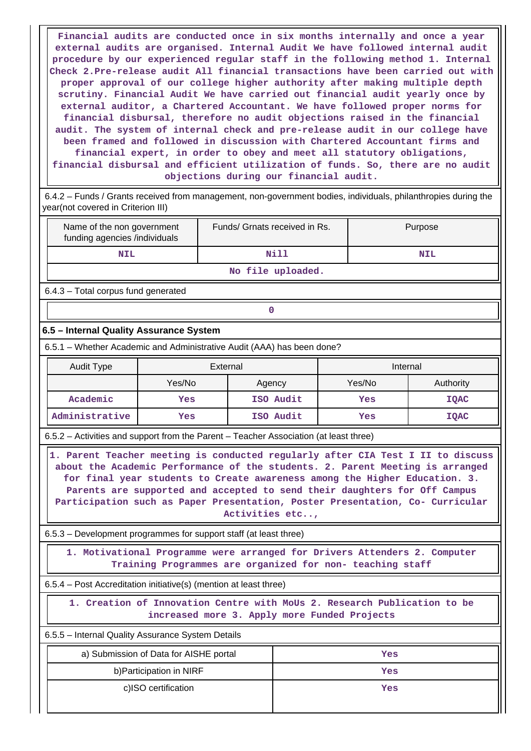**Financial audits are conducted once in six months internally and once a year external audits are organised. Internal Audit We have followed internal audit procedure by our experienced regular staff in the following method 1. Internal Check 2.Pre-release audit All financial transactions have been carried out with proper approval of our college higher authority after making multiple depth scrutiny. Financial Audit We have carried out financial audit yearly once by external auditor, a Chartered Accountant. We have followed proper norms for financial disbursal, therefore no audit objections raised in the financial audit. The system of internal check and pre-release audit in our college have been framed and followed in discussion with Chartered Accountant firms and financial expert, in order to obey and meet all statutory obligations, financial disbursal and efficient utilization of funds. So, there are no audit objections during our financial audit.**

 6.4.2 – Funds / Grants received from management, non-government bodies, individuals, philanthropies during the year(not covered in Criterion III)

| Name of the non government<br>funding agencies /individuals | Funds/ Grnats received in Rs. | Purpose    |  |  |  |
|-------------------------------------------------------------|-------------------------------|------------|--|--|--|
| <b>NIL</b>                                                  | Nill                          | <b>NIL</b> |  |  |  |
| No file uploaded.                                           |                               |            |  |  |  |

6.4.3 – Total corpus fund generated

# **0**

### **6.5 – Internal Quality Assurance System**

6.5.1 – Whether Academic and Administrative Audit (AAA) has been done?

| <b>Audit Type</b> | External |           | Internal |             |
|-------------------|----------|-----------|----------|-------------|
|                   | Yes/No   | Agency    | Yes/No   | Authority   |
| Academic          | Yes      | ISO Audit | Yes      | <b>IQAC</b> |
| Administrative    | Yes      | ISO Audit | Yes      | IQAC        |

6.5.2 – Activities and support from the Parent – Teacher Association (at least three)

 **1. Parent Teacher meeting is conducted regularly after CIA Test I II to discuss about the Academic Performance of the students. 2. Parent Meeting is arranged for final year students to Create awareness among the Higher Education. 3. Parents are supported and accepted to send their daughters for Off Campus Participation such as Paper Presentation, Poster Presentation, Co- Curricular Activities etc..,**

6.5.3 – Development programmes for support staff (at least three)

 **1. Motivational Programme were arranged for Drivers Attenders 2. Computer Training Programmes are organized for non- teaching staff**

6.5.4 – Post Accreditation initiative(s) (mention at least three)

 **1. Creation of Innovation Centre with MoUs 2. Research Publication to be increased more 3. Apply more Funded Projects**

6.5.5 – Internal Quality Assurance System Details

| a) Submission of Data for AISHE portal | Yes |
|----------------------------------------|-----|
| b) Participation in NIRF               | Yes |
| c)ISO certification                    | Yes |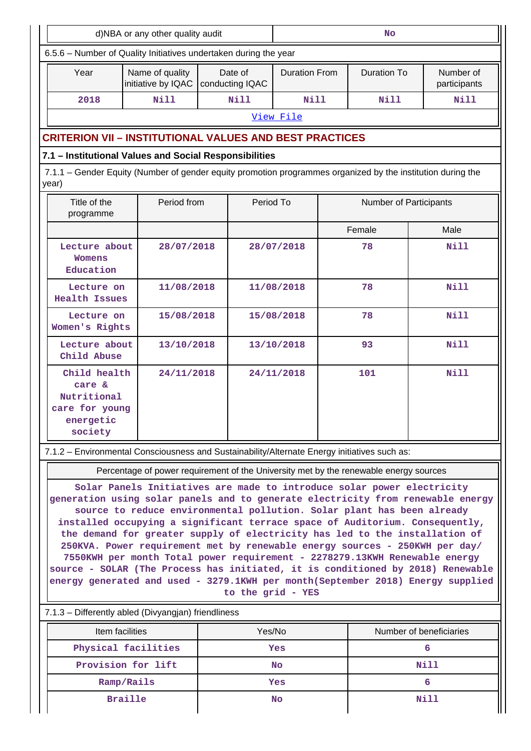| d)NBA or any other quality audit                                                                                                                                                                                                                                                                                                                                                                                                                                                                                                                                                                                                                                                                                                                           |                                                                                             |             | <b>No</b>  |                    |                           |             |             |
|------------------------------------------------------------------------------------------------------------------------------------------------------------------------------------------------------------------------------------------------------------------------------------------------------------------------------------------------------------------------------------------------------------------------------------------------------------------------------------------------------------------------------------------------------------------------------------------------------------------------------------------------------------------------------------------------------------------------------------------------------------|---------------------------------------------------------------------------------------------|-------------|------------|--------------------|---------------------------|-------------|-------------|
| 6.5.6 - Number of Quality Initiatives undertaken during the year                                                                                                                                                                                                                                                                                                                                                                                                                                                                                                                                                                                                                                                                                           |                                                                                             |             |            |                    |                           |             |             |
| Year                                                                                                                                                                                                                                                                                                                                                                                                                                                                                                                                                                                                                                                                                                                                                       | Name of quality<br>Date of<br><b>Duration From</b><br>initiative by IQAC<br>conducting IQAC |             |            | <b>Duration To</b> | Number of<br>participants |             |             |
| 2018                                                                                                                                                                                                                                                                                                                                                                                                                                                                                                                                                                                                                                                                                                                                                       | <b>Nill</b>                                                                                 | <b>Nill</b> |            | <b>Nill</b>        |                           | Nill        | Nill        |
|                                                                                                                                                                                                                                                                                                                                                                                                                                                                                                                                                                                                                                                                                                                                                            |                                                                                             |             |            | View File          |                           |             |             |
|                                                                                                                                                                                                                                                                                                                                                                                                                                                                                                                                                                                                                                                                                                                                                            | <b>CRITERION VII - INSTITUTIONAL VALUES AND BEST PRACTICES</b>                              |             |            |                    |                           |             |             |
| 7.1 - Institutional Values and Social Responsibilities                                                                                                                                                                                                                                                                                                                                                                                                                                                                                                                                                                                                                                                                                                     |                                                                                             |             |            |                    |                           |             |             |
| 7.1.1 – Gender Equity (Number of gender equity promotion programmes organized by the institution during the<br>year)                                                                                                                                                                                                                                                                                                                                                                                                                                                                                                                                                                                                                                       |                                                                                             |             |            |                    |                           |             |             |
| Title of the<br>programme                                                                                                                                                                                                                                                                                                                                                                                                                                                                                                                                                                                                                                                                                                                                  | Period from                                                                                 |             | Period To  |                    | Number of Participants    |             |             |
|                                                                                                                                                                                                                                                                                                                                                                                                                                                                                                                                                                                                                                                                                                                                                            |                                                                                             |             |            |                    |                           | Female      | Male        |
| Lecture about<br>Womens<br>Education                                                                                                                                                                                                                                                                                                                                                                                                                                                                                                                                                                                                                                                                                                                       | 28/07/2018                                                                                  |             | 28/07/2018 |                    |                           | 78          | <b>Nill</b> |
| Lecture on<br><b>Health Issues</b>                                                                                                                                                                                                                                                                                                                                                                                                                                                                                                                                                                                                                                                                                                                         | 11/08/2018                                                                                  |             |            | 11/08/2018         |                           | 78          | <b>Nill</b> |
|                                                                                                                                                                                                                                                                                                                                                                                                                                                                                                                                                                                                                                                                                                                                                            | 15/08/2018<br>Lecture on<br>Women's Rights                                                  |             | 15/08/2018 |                    | 78                        | <b>Nill</b> |             |
| Lecture about<br>13/10/2018<br>Child Abuse                                                                                                                                                                                                                                                                                                                                                                                                                                                                                                                                                                                                                                                                                                                 |                                                                                             | 13/10/2018  |            |                    | 93                        | <b>Nill</b> |             |
| Child health<br>24/11/2018<br>care &<br>Nutritional<br>care for young<br>energetic<br>society                                                                                                                                                                                                                                                                                                                                                                                                                                                                                                                                                                                                                                                              |                                                                                             |             |            | 24/11/2018         |                           | 101         | <b>Nill</b> |
| 7.1.2 - Environmental Consciousness and Sustainability/Alternate Energy initiatives such as:                                                                                                                                                                                                                                                                                                                                                                                                                                                                                                                                                                                                                                                               |                                                                                             |             |            |                    |                           |             |             |
| Percentage of power requirement of the University met by the renewable energy sources                                                                                                                                                                                                                                                                                                                                                                                                                                                                                                                                                                                                                                                                      |                                                                                             |             |            |                    |                           |             |             |
| Solar Panels Initiatives are made to introduce solar power electricity<br>generation using solar panels and to generate electricity from renewable energy<br>source to reduce environmental pollution. Solar plant has been already<br>installed occupying a significant terrace space of Auditorium. Consequently,<br>the demand for greater supply of electricity has led to the installation of<br>250KVA. Power requirement met by renewable energy sources - 250KWH per day/<br>7550KWH per month Total power requirement - 2278279.13KWH Renewable energy<br>source - SOLAR (The Process has initiated, it is conditioned by 2018) Renewable<br>energy generated and used - 3279.1KWH per month(September 2018) Energy supplied<br>to the grid - YES |                                                                                             |             |            |                    |                           |             |             |
| 7.1.3 - Differently abled (Divyangjan) friendliness                                                                                                                                                                                                                                                                                                                                                                                                                                                                                                                                                                                                                                                                                                        |                                                                                             |             |            |                    |                           |             |             |
| Item facilities<br>Yes/No<br>Number of beneficiaries                                                                                                                                                                                                                                                                                                                                                                                                                                                                                                                                                                                                                                                                                                       |                                                                                             |             |            |                    |                           |             |             |
|                                                                                                                                                                                                                                                                                                                                                                                                                                                                                                                                                                                                                                                                                                                                                            | Physical facilities                                                                         |             |            | Yes                | 6                         |             |             |
|                                                                                                                                                                                                                                                                                                                                                                                                                                                                                                                                                                                                                                                                                                                                                            | Provision for lift                                                                          |             |            | No                 |                           |             | Nill        |
| Ramp/Rails                                                                                                                                                                                                                                                                                                                                                                                                                                                                                                                                                                                                                                                                                                                                                 |                                                                                             |             |            | Yes                |                           |             | 6           |
| <b>Braille</b>                                                                                                                                                                                                                                                                                                                                                                                                                                                                                                                                                                                                                                                                                                                                             |                                                                                             |             | No         |                    |                           | Nill        |             |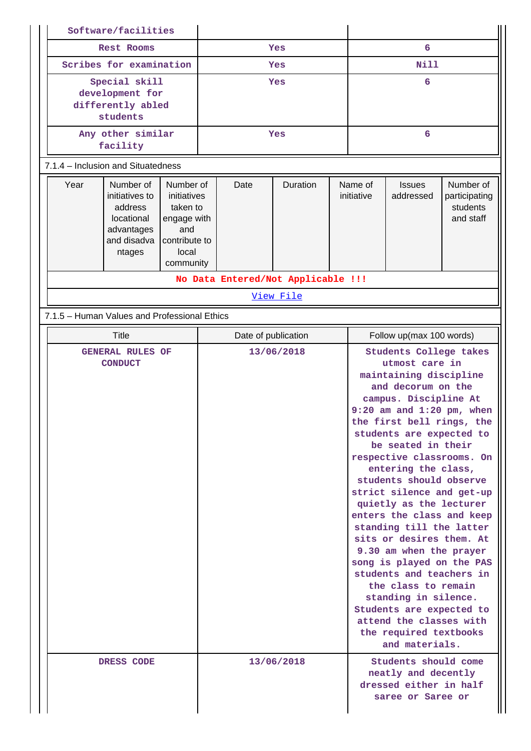|                                                                   | Software/facilities                                                                         |                                                                                                   |                     |                                                                                            |          |                                                                                                                                                                                                                                                                                                                                                                                                                                                                                                                                                                                                                                                                                   |                       |                            |                                                     |
|-------------------------------------------------------------------|---------------------------------------------------------------------------------------------|---------------------------------------------------------------------------------------------------|---------------------|--------------------------------------------------------------------------------------------|----------|-----------------------------------------------------------------------------------------------------------------------------------------------------------------------------------------------------------------------------------------------------------------------------------------------------------------------------------------------------------------------------------------------------------------------------------------------------------------------------------------------------------------------------------------------------------------------------------------------------------------------------------------------------------------------------------|-----------------------|----------------------------|-----------------------------------------------------|
| Rest Rooms                                                        |                                                                                             | Yes                                                                                               |                     |                                                                                            | 6        |                                                                                                                                                                                                                                                                                                                                                                                                                                                                                                                                                                                                                                                                                   |                       |                            |                                                     |
| Scribes for examination                                           |                                                                                             | Yes                                                                                               |                     | <b>Nill</b>                                                                                |          |                                                                                                                                                                                                                                                                                                                                                                                                                                                                                                                                                                                                                                                                                   |                       |                            |                                                     |
| Special skill<br>development for<br>differently abled<br>students |                                                                                             | Yes                                                                                               |                     |                                                                                            | 6        |                                                                                                                                                                                                                                                                                                                                                                                                                                                                                                                                                                                                                                                                                   |                       |                            |                                                     |
|                                                                   | Any other similar<br>facility                                                               |                                                                                                   | Yes                 |                                                                                            |          | 6                                                                                                                                                                                                                                                                                                                                                                                                                                                                                                                                                                                                                                                                                 |                       |                            |                                                     |
|                                                                   | 7.1.4 – Inclusion and Situatedness                                                          |                                                                                                   |                     |                                                                                            |          |                                                                                                                                                                                                                                                                                                                                                                                                                                                                                                                                                                                                                                                                                   |                       |                            |                                                     |
| Year                                                              | Number of<br>initiatives to<br>address<br>locational<br>advantages<br>and disadva<br>ntages | Number of<br>initiatives<br>taken to<br>engage with<br>and<br>contribute to<br>local<br>community |                     | Date                                                                                       | Duration |                                                                                                                                                                                                                                                                                                                                                                                                                                                                                                                                                                                                                                                                                   | Name of<br>initiative | <b>Issues</b><br>addressed | Number of<br>participating<br>students<br>and staff |
|                                                                   |                                                                                             |                                                                                                   |                     |                                                                                            |          |                                                                                                                                                                                                                                                                                                                                                                                                                                                                                                                                                                                                                                                                                   |                       |                            |                                                     |
| No Data Entered/Not Applicable !!!<br>View File                   |                                                                                             |                                                                                                   |                     |                                                                                            |          |                                                                                                                                                                                                                                                                                                                                                                                                                                                                                                                                                                                                                                                                                   |                       |                            |                                                     |
|                                                                   | 7.1.5 - Human Values and Professional Ethics                                                |                                                                                                   |                     |                                                                                            |          |                                                                                                                                                                                                                                                                                                                                                                                                                                                                                                                                                                                                                                                                                   |                       |                            |                                                     |
|                                                                   | <b>Title</b>                                                                                |                                                                                                   | Date of publication |                                                                                            |          | Follow up(max 100 words)                                                                                                                                                                                                                                                                                                                                                                                                                                                                                                                                                                                                                                                          |                       |                            |                                                     |
| <b>GENERAL RULES OF</b><br><b>CONDUCT</b>                         |                                                                                             |                                                                                                   |                     | 13/06/2018                                                                                 |          | Students College takes<br>utmost care in<br>maintaining discipline<br>and decorum on the<br>campus. Discipline At<br>$9:20$ am and $1:20$ pm, when<br>the first bell rings, the<br>students are expected to<br>be seated in their<br>respective classrooms. On<br>entering the class,<br>students should observe<br>strict silence and get-up<br>quietly as the lecturer<br>enters the class and keep<br>standing till the latter<br>sits or desires them. At<br>9.30 am when the prayer<br>song is played on the PAS<br>students and teachers in<br>the class to remain<br>standing in silence.<br>Students are expected to<br>attend the classes with<br>the required textbooks |                       |                            |                                                     |
| DRESS CODE                                                        |                                                                                             | 13/06/2018                                                                                        |                     | Students should come<br>neatly and decently<br>dressed either in half<br>saree or Saree or |          |                                                                                                                                                                                                                                                                                                                                                                                                                                                                                                                                                                                                                                                                                   |                       |                            |                                                     |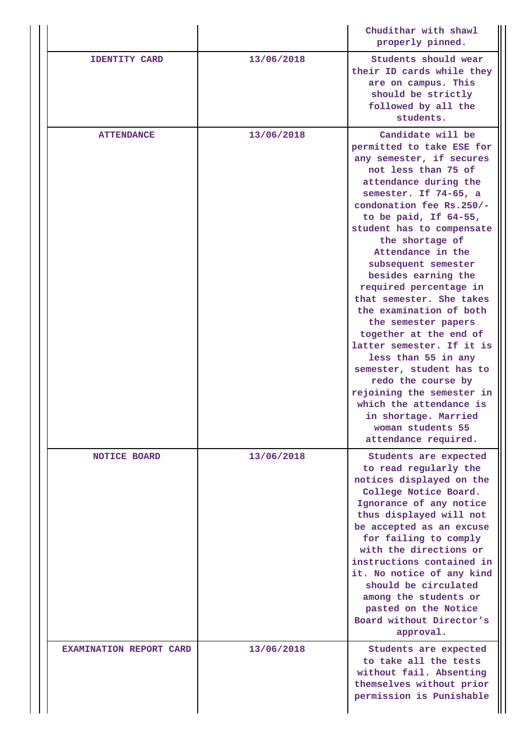|                                |            | Chudithar with shawl<br>properly pinned.                                                                                                                                                                                                                                                                                                                                                                                                                                                                                                                                                                                                                                                            |
|--------------------------------|------------|-----------------------------------------------------------------------------------------------------------------------------------------------------------------------------------------------------------------------------------------------------------------------------------------------------------------------------------------------------------------------------------------------------------------------------------------------------------------------------------------------------------------------------------------------------------------------------------------------------------------------------------------------------------------------------------------------------|
| <b>IDENTITY CARD</b>           | 13/06/2018 | Students should wear<br>their ID cards while they<br>are on campus. This<br>should be strictly<br>followed by all the<br>students.                                                                                                                                                                                                                                                                                                                                                                                                                                                                                                                                                                  |
| <b>ATTENDANCE</b>              | 13/06/2018 | Candidate will be<br>permitted to take ESE for<br>any semester, if secures<br>not less than 75 of<br>attendance during the<br>semester. If 74-65, a<br>condonation fee Rs.250/-<br>to be paid, If $64-55$ ,<br>student has to compensate<br>the shortage of<br>Attendance in the<br>subsequent semester<br>besides earning the<br>required percentage in<br>that semester. She takes<br>the examination of both<br>the semester papers<br>together at the end of<br>latter semester. If it is<br>less than 55 in any<br>semester, student has to<br>redo the course by<br>rejoining the semester in<br>which the attendance is<br>in shortage. Married<br>woman students 55<br>attendance required. |
| <b>NOTICE BOARD</b>            | 13/06/2018 | Students are expected<br>to read regularly the<br>notices displayed on the<br>College Notice Board.<br>Ignorance of any notice<br>thus displayed will not<br>be accepted as an excuse<br>for failing to comply<br>with the directions or<br>instructions contained in<br>it. No notice of any kind<br>should be circulated<br>among the students or<br>pasted on the Notice<br>Board without Director's<br>approval.                                                                                                                                                                                                                                                                                |
| <b>EXAMINATION REPORT CARD</b> | 13/06/2018 | Students are expected<br>to take all the tests<br>without fail. Absenting<br>themselves without prior<br>permission is Punishable                                                                                                                                                                                                                                                                                                                                                                                                                                                                                                                                                                   |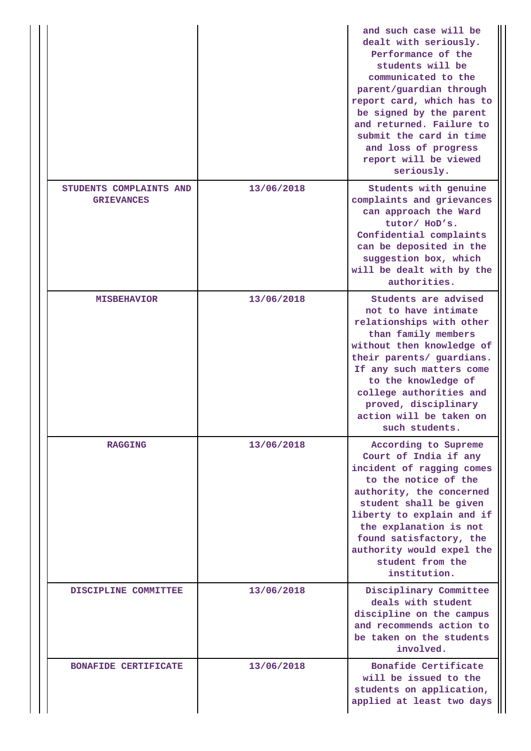|                                              |            | and such case will be<br>dealt with seriously.<br>Performance of the<br>students will be<br>communicated to the<br>parent/guardian through<br>report card, which has to<br>be signed by the parent<br>and returned. Failure to<br>submit the card in time<br>and loss of progress<br>report will be viewed<br>seriously. |
|----------------------------------------------|------------|--------------------------------------------------------------------------------------------------------------------------------------------------------------------------------------------------------------------------------------------------------------------------------------------------------------------------|
| STUDENTS COMPLAINTS AND<br><b>GRIEVANCES</b> | 13/06/2018 | Students with genuine<br>complaints and grievances<br>can approach the Ward<br>tutor/ HoD's.<br>Confidential complaints<br>can be deposited in the<br>suggestion box, which<br>will be dealt with by the<br>authorities.                                                                                                 |
| <b>MISBEHAVIOR</b>                           | 13/06/2018 | Students are advised<br>not to have intimate<br>relationships with other<br>than family members<br>without then knowledge of<br>their parents/ guardians.<br>If any such matters come<br>to the knowledge of<br>college authorities and<br>proved, disciplinary<br>action will be taken on<br>such students.             |
| <b>RAGGING</b>                               | 13/06/2018 | According to Supreme<br>Court of India if any<br>incident of ragging comes<br>to the notice of the<br>authority, the concerned<br>student shall be given<br>liberty to explain and if<br>the explanation is not<br>found satisfactory, the<br>authority would expel the<br>student from the<br>institution.              |
| DISCIPLINE COMMITTEE                         | 13/06/2018 | Disciplinary Committee<br>deals with student<br>discipline on the campus<br>and recommends action to<br>be taken on the students<br>involved.                                                                                                                                                                            |
| <b>BONAFIDE CERTIFICATE</b>                  | 13/06/2018 | Bonafide Certificate<br>will be issued to the<br>students on application,<br>applied at least two days                                                                                                                                                                                                                   |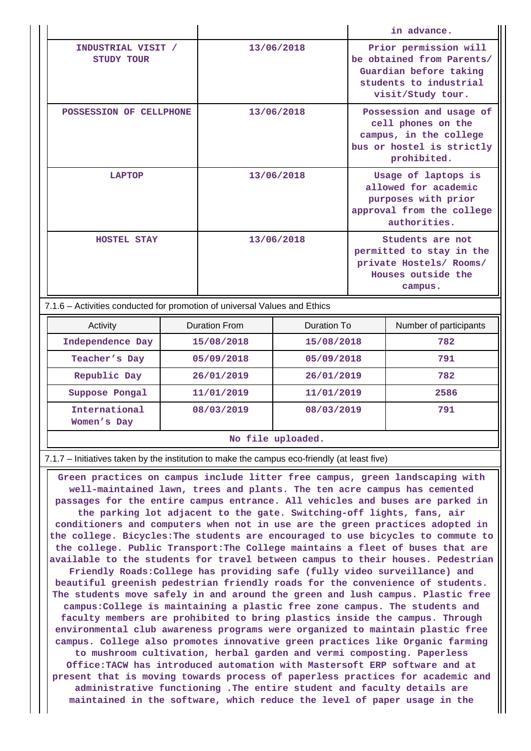|  |                                  |            | in advance.                                                                                                                 |
|--|----------------------------------|------------|-----------------------------------------------------------------------------------------------------------------------------|
|  | INDUSTRIAL VISIT /<br>STUDY TOUR | 13/06/2018 | Prior permission will<br>be obtained from Parents/<br>Guardian before taking<br>students to industrial<br>visit/Study tour. |
|  | POSSESSION OF CELLPHONE          | 13/06/2018 | Possession and usage of<br>cell phones on the<br>campus, in the college<br>bus or hostel is strictly<br>prohibited.         |
|  | LAPTOP                           | 13/06/2018 | Usage of laptops is<br>allowed for academic<br>purposes with prior<br>approval from the college<br>authorities.             |
|  | <b>HOSTEL STAY</b>               | 13/06/2018 | Students are not<br>permitted to stay in the<br>private Hostels/ Rooms/<br>Houses outside the<br>campus.                    |

7.1.6 – Activities conducted for promotion of universal Values and Ethics

| Activity                     | Duration From | Duration To | Number of participants |  |  |
|------------------------------|---------------|-------------|------------------------|--|--|
| Independence Day             | 15/08/2018    | 15/08/2018  | 782                    |  |  |
| Teacher's Day                | 05/09/2018    | 05/09/2018  | 791                    |  |  |
| Republic Day                 | 26/01/2019    | 26/01/2019  | 782                    |  |  |
| Suppose Pongal               | 11/01/2019    | 11/01/2019  | 2586                   |  |  |
| International<br>Women's Day | 08/03/2019    | 08/03/2019  | 791                    |  |  |
| No file uploaded.            |               |             |                        |  |  |

7.1.7 – Initiatives taken by the institution to make the campus eco-friendly (at least five)

 **Green practices on campus include litter free campus, green landscaping with well-maintained lawn, trees and plants. The ten acre campus has cemented passages for the entire campus entrance. All vehicles and buses are parked in the parking lot adjacent to the gate. Switching-off lights, fans, air conditioners and computers when not in use are the green practices adopted in the college. Bicycles:The students are encouraged to use bicycles to commute to the college. Public Transport:The College maintains a fleet of buses that are available to the students for travel between campus to their houses. Pedestrian Friendly Roads:College has providing safe (fully video surveillance) and beautiful greenish pedestrian friendly roads for the convenience of students. The students move safely in and around the green and lush campus. Plastic free campus:College is maintaining a plastic free zone campus. The students and faculty members are prohibited to bring plastics inside the campus. Through environmental club awareness programs were organized to maintain plastic free campus. College also promotes innovative green practices like Organic farming to mushroom cultivation, herbal garden and vermi composting. Paperless Office:TACW has introduced automation with Mastersoft ERP software and at present that is moving towards process of paperless practices for academic and administrative functioning .The entire student and faculty details are maintained in the software, which reduce the level of paper usage in the**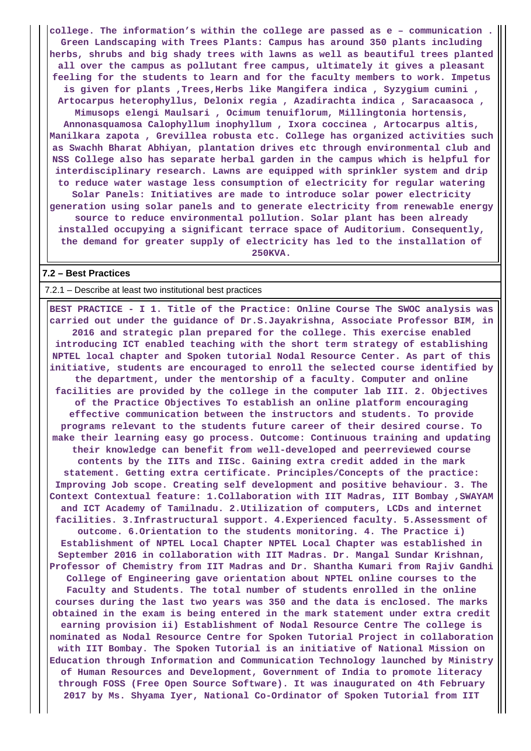**college. The information's within the college are passed as e – communication . Green Landscaping with Trees Plants: Campus has around 350 plants including herbs, shrubs and big shady trees with lawns as well as beautiful trees planted all over the campus as pollutant free campus, ultimately it gives a pleasant feeling for the students to learn and for the faculty members to work. Impetus is given for plants ,Trees,Herbs like Mangifera indica , Syzygium cumini , Artocarpus heterophyllus, Delonix regia , Azadirachta indica , Saracaasoca , Mimusops elengi Maulsari , Ocimum tenuiflorum, Millingtonia hortensis, Annonasquamosa Calophyllum inophyllum , Ixora coccinea , Artocarpus altis, Manilkara zapota , Grevillea robusta etc. College has organized activities such as Swachh Bharat Abhiyan, plantation drives etc through environmental club and NSS College also has separate herbal garden in the campus which is helpful for interdisciplinary research. Lawns are equipped with sprinkler system and drip to reduce water wastage less consumption of electricity for regular watering Solar Panels: Initiatives are made to introduce solar power electricity generation using solar panels and to generate electricity from renewable energy source to reduce environmental pollution. Solar plant has been already installed occupying a significant terrace space of Auditorium. Consequently, the demand for greater supply of electricity has led to the installation of 250KVA.**

#### **7.2 – Best Practices**

#### 7.2.1 – Describe at least two institutional best practices

 **BEST PRACTICE - I 1. Title of the Practice: Online Course The SWOC analysis was carried out under the guidance of Dr.S.Jayakrishna, Associate Professor BIM, in 2016 and strategic plan prepared for the college. This exercise enabled introducing ICT enabled teaching with the short term strategy of establishing NPTEL local chapter and Spoken tutorial Nodal Resource Center. As part of this initiative, students are encouraged to enroll the selected course identified by the department, under the mentorship of a faculty. Computer and online facilities are provided by the college in the computer lab III. 2. Objectives of the Practice Objectives To establish an online platform encouraging effective communication between the instructors and students. To provide programs relevant to the students future career of their desired course. To make their learning easy go process. Outcome: Continuous training and updating their knowledge can benefit from well-developed and peerreviewed course contents by the IITs and IISc. Gaining extra credit added in the mark statement. Getting extra certificate. Principles/Concepts of the practice: Improving Job scope. Creating self development and positive behaviour. 3. The Context Contextual feature: 1.Collaboration with IIT Madras, IIT Bombay ,SWAYAM and ICT Academy of Tamilnadu. 2.Utilization of computers, LCDs and internet facilities. 3.Infrastructural support. 4.Experienced faculty. 5.Assessment of outcome. 6.Orientation to the students monitoring. 4. The Practice i) Establishment of NPTEL Local Chapter NPTEL Local Chapter was established in September 2016 in collaboration with IIT Madras. Dr. Mangal Sundar Krishnan, Professor of Chemistry from IIT Madras and Dr. Shantha Kumari from Rajiv Gandhi College of Engineering gave orientation about NPTEL online courses to the Faculty and Students. The total number of students enrolled in the online courses during the last two years was 350 and the data is enclosed. The marks obtained in the exam is being entered in the mark statement under extra credit earning provision ii) Establishment of Nodal Resource Centre The college is nominated as Nodal Resource Centre for Spoken Tutorial Project in collaboration with IIT Bombay. The Spoken Tutorial is an initiative of National Mission on Education through Information and Communication Technology launched by Ministry of Human Resources and Development, Government of India to promote literacy through FOSS (Free Open Source Software). It was inaugurated on 4th February 2017 by Ms. Shyama Iyer, National Co-Ordinator of Spoken Tutorial from IIT**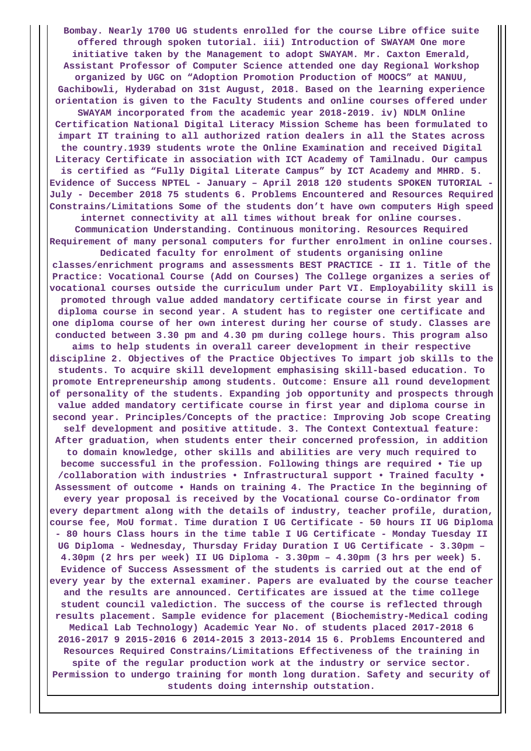**Bombay. Nearly 1700 UG students enrolled for the course Libre office suite offered through spoken tutorial. iii) Introduction of SWAYAM One more initiative taken by the Management to adopt SWAYAM. Mr. Caxton Emerald, Assistant Professor of Computer Science attended one day Regional Workshop organized by UGC on "Adoption Promotion Production of MOOCS" at MANUU, Gachibowli, Hyderabad on 31st August, 2018. Based on the learning experience orientation is given to the Faculty Students and online courses offered under SWAYAM incorporated from the academic year 2018-2019. iv) NDLM Online Certification National Digital Literacy Mission Scheme has been formulated to**

**impart IT training to all authorized ration dealers in all the States across the country.1939 students wrote the Online Examination and received Digital Literacy Certificate in association with ICT Academy of Tamilnadu. Our campus is certified as "Fully Digital Literate Campus" by ICT Academy and MHRD. 5. Evidence of Success NPTEL - January – April 2018 120 students SPOKEN TUTORIAL - July - December 2018 75 students 6. Problems Encountered and Resources Required Constrains/Limitations Some of the students don't have own computers High speed**

**internet connectivity at all times without break for online courses. Communication Understanding. Continuous monitoring. Resources Required Requirement of many personal computers for further enrolment in online courses.**

**Dedicated faculty for enrolment of students organising online classes/enrichment programs and assessments BEST PRACTICE - II 1. Title of the Practice: Vocational Course (Add on Courses) The College organizes a series of vocational courses outside the curriculum under Part VI. Employability skill is promoted through value added mandatory certificate course in first year and diploma course in second year. A student has to register one certificate and one diploma course of her own interest during her course of study. Classes are conducted between 3.30 pm and 4.30 pm during college hours. This program also aims to help students in overall career development in their respective discipline 2. Objectives of the Practice Objectives To impart job skills to the students. To acquire skill development emphasising skill-based education. To promote Entrepreneurship among students. Outcome: Ensure all round development of personality of the students. Expanding job opportunity and prospects through value added mandatory certificate course in first year and diploma course in second year. Principles/Concepts of the practice: Improving Job scope Creating self development and positive attitude. 3. The Context Contextual feature: After graduation, when students enter their concerned profession, in addition to domain knowledge, other skills and abilities are very much required to become successful in the profession. Following things are required • Tie up /collaboration with industries • Infrastructural support • Trained faculty • Assessment of outcome • Hands on training 4. The Practice In the beginning of every year proposal is received by the Vocational course Co-ordinator from every department along with the details of industry, teacher profile, duration, course fee, MoU format. Time duration I UG Certificate - 50 hours II UG Diploma - 80 hours Class hours in the time table I UG Certificate - Monday Tuesday II UG Diploma - Wednesday, Thursday Friday Duration I UG Certificate - 3.30pm – 4.30pm (2 hrs per week) II UG Diploma - 3.30pm – 4.30pm (3 hrs per week) 5. Evidence of Success Assessment of the students is carried out at the end of every year by the external examiner. Papers are evaluated by the course teacher and the results are announced. Certificates are issued at the time college student council valediction. The success of the course is reflected through results placement. Sample evidence for placement (Biochemistry-Medical coding Medical Lab Technology) Academic Year No. of students placed 2017-2018 6 2016-2017 9 2015-2016 6 2014-2015 3 2013-2014 15 6. Problems Encountered and Resources Required Constrains/Limitations Effectiveness of the training in spite of the regular production work at the industry or service sector. Permission to undergo training for month long duration. Safety and security of students doing internship outstation.**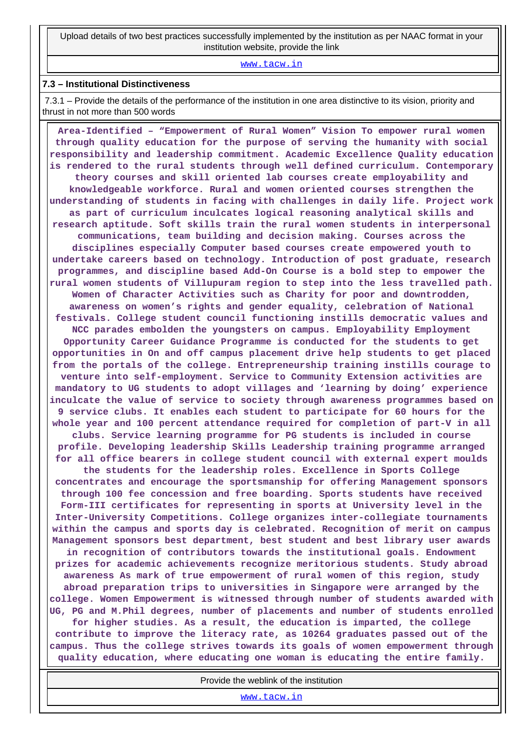Upload details of two best practices successfully implemented by the institution as per NAAC format in your institution website, provide the link

<www.tacw.in>

#### **7.3 – Institutional Distinctiveness**

 7.3.1 – Provide the details of the performance of the institution in one area distinctive to its vision, priority and thrust in not more than 500 words

 **Area-Identified – "Empowerment of Rural Women" Vision To empower rural women through quality education for the purpose of serving the humanity with social responsibility and leadership commitment. Academic Excellence Quality education is rendered to the rural students through well defined curriculum. Contemporary theory courses and skill oriented lab courses create employability and knowledgeable workforce. Rural and women oriented courses strengthen the understanding of students in facing with challenges in daily life. Project work as part of curriculum inculcates logical reasoning analytical skills and research aptitude. Soft skills train the rural women students in interpersonal communications, team building and decision making. Courses across the disciplines especially Computer based courses create empowered youth to undertake careers based on technology. Introduction of post graduate, research programmes, and discipline based Add-On Course is a bold step to empower the rural women students of Villupuram region to step into the less travelled path. Women of Character Activities such as Charity for poor and downtrodden, awareness on women's rights and gender equality, celebration of National festivals. College student council functioning instills democratic values and NCC parades embolden the youngsters on campus. Employability Employment Opportunity Career Guidance Programme is conducted for the students to get opportunities in On and off campus placement drive help students to get placed from the portals of the college. Entrepreneurship training instills courage to venture into self-employment. Service to Community Extension activities are mandatory to UG students to adopt villages and 'learning by doing' experience inculcate the value of service to society through awareness programmes based on 9 service clubs. It enables each student to participate for 60 hours for the whole year and 100 percent attendance required for completion of part-V in all clubs. Service learning programme for PG students is included in course profile. Developing leadership Skills Leadership training programme arranged for all office bearers in college student council with external expert moulds the students for the leadership roles. Excellence in Sports College concentrates and encourage the sportsmanship for offering Management sponsors through 100 fee concession and free boarding. Sports students have received Form-III certificates for representing in sports at University level in the Inter-University Competitions. College organizes inter-collegiate tournaments within the campus and sports day is celebrated. Recognition of merit on campus Management sponsors best department, best student and best library user awards in recognition of contributors towards the institutional goals. Endowment prizes for academic achievements recognize meritorious students. Study abroad awareness As mark of true empowerment of rural women of this region, study abroad preparation trips to universities in Singapore were arranged by the college. Women Empowerment is witnessed through number of students awarded with UG, PG and M.Phil degrees, number of placements and number of students enrolled for higher studies. As a result, the education is imparted, the college contribute to improve the literacy rate, as 10264 graduates passed out of the campus. Thus the college strives towards its goals of women empowerment through quality education, where educating one woman is educating the entire family.**

Provide the weblink of the institution

<www.tacw.in>